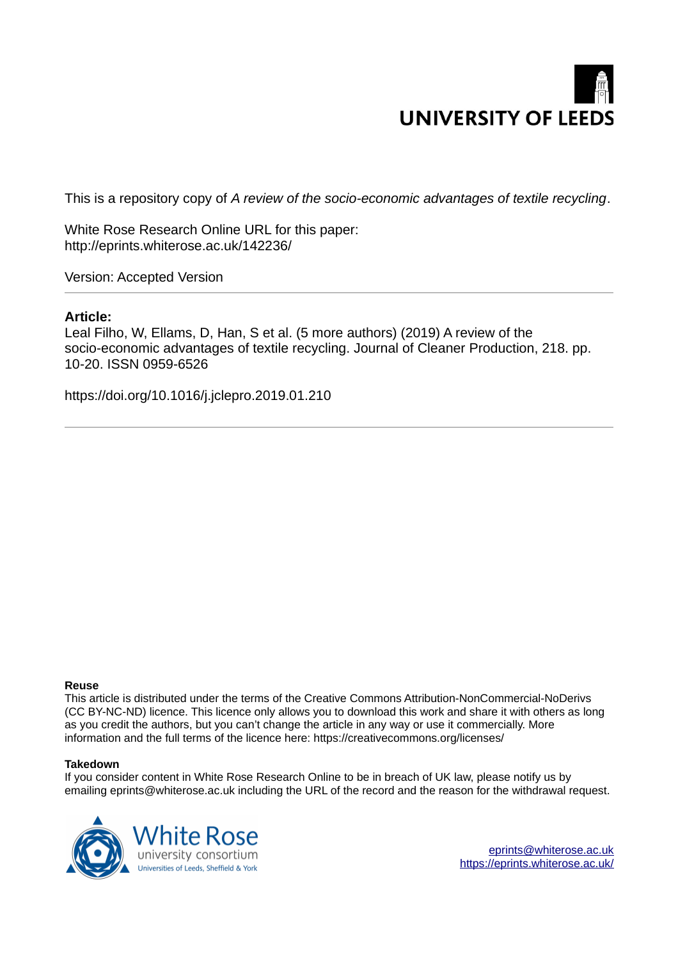# **UNIVERSITY OF LEEDS**

This is a repository copy of *A review of the socio-economic advantages of textile recycling*.

White Rose Research Online URL for this paper: http://eprints.whiterose.ac.uk/142236/

Version: Accepted Version

# **Article:**

Leal Filho, W, Ellams, D, Han, S et al. (5 more authors) (2019) A review of the socio-economic advantages of textile recycling. Journal of Cleaner Production, 218. pp. 10-20. ISSN 0959-6526

https://doi.org/10.1016/j.jclepro.2019.01.210

### **Reuse**

This article is distributed under the terms of the Creative Commons Attribution-NonCommercial-NoDerivs (CC BY-NC-ND) licence. This licence only allows you to download this work and share it with others as long as you credit the authors, but you can't change the article in any way or use it commercially. More information and the full terms of the licence here: https://creativecommons.org/licenses/

### **Takedown**

If you consider content in White Rose Research Online to be in breach of UK law, please notify us by emailing eprints@whiterose.ac.uk including the URL of the record and the reason for the withdrawal request.



[eprints@whiterose.ac.uk](mailto:eprints@whiterose.ac.uk) <https://eprints.whiterose.ac.uk/>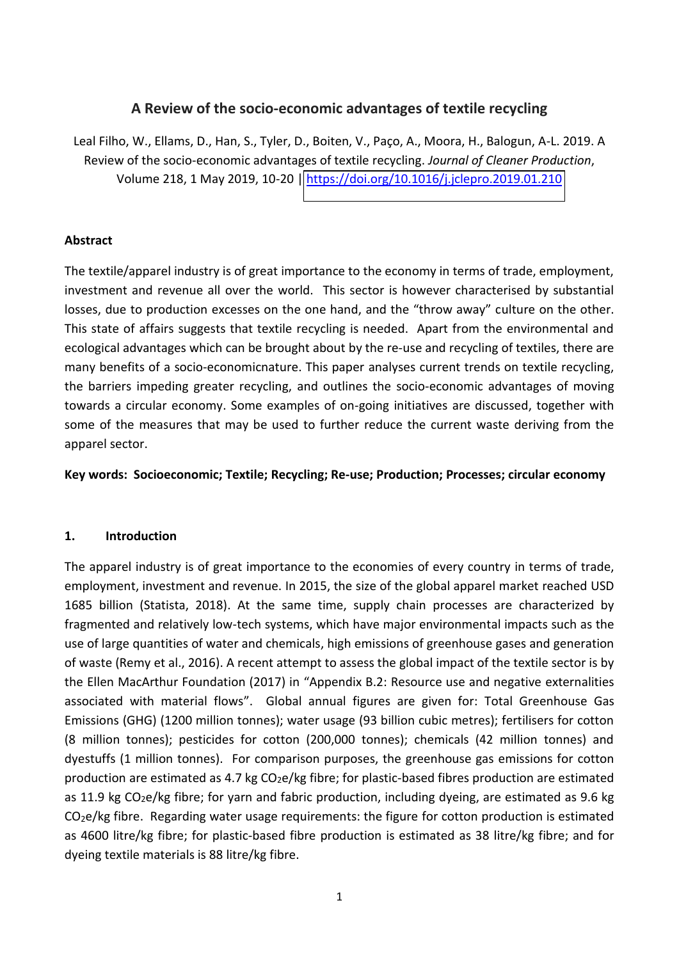# **A Review of the socio-economic advantages of textile recycling**

Leal Filho, W., Ellams, D., Han, S., Tyler, D., Boiten, V., Paço, A., Moora, H., Balogun, A-L. 2019. A Review of the socio-economic advantages of textile recycling. *Journal of Cleaner Production*, Volume 218, 1 May 2019, 10-20 [| https://doi.org/10.1016/j.jclepro.2019.01.210](https://doi.org/10.1016/j.jclepro.2019.01.210)

# **Abstract**

The textile/apparel industry is of great importance to the economy in terms of trade, employment, investment and revenue all over the world. This sector is however characterised by substantial losses, due to production excesses on the one hand, and the "throw away" culture on the other. This state of affairs suggests that textile recycling is needed. Apart from the environmental and ecological advantages which can be brought about by the re-use and recycling of textiles, there are many benefits of a socio-economicnature. This paper analyses current trends on textile recycling, the barriers impeding greater recycling, and outlines the socio-economic advantages of moving towards a circular economy. Some examples of on-going initiatives are discussed, together with some of the measures that may be used to further reduce the current waste deriving from the apparel sector.

**Key words: Socioeconomic; Textile; Recycling; Re-use; Production; Processes; circular economy** 

# **1. Introduction**

The apparel industry is of great importance to the economies of every country in terms of trade, employment, investment and revenue. In 2015, the size of the global apparel market reached USD 1685 billion (Statista, 2018). At the same time, supply chain processes are characterized by fragmented and relatively low-tech systems, which have major environmental impacts such as the use of large quantities of water and chemicals, high emissions of greenhouse gases and generation of waste (Remy et al., 2016). A recent attempt to assess the global impact of the textile sector is by the Ellen MacArthur Foundation (2017) in "Appendix B.2: Resource use and negative externalities associated with material flows". Global annual figures are given for: Total Greenhouse Gas Emissions (GHG) (1200 million tonnes); water usage (93 billion cubic metres); fertilisers for cotton (8 million tonnes); pesticides for cotton (200,000 tonnes); chemicals (42 million tonnes) and dyestuffs (1 million tonnes). For comparison purposes, the greenhouse gas emissions for cotton production are estimated as 4.7 kg  $CO<sub>2</sub>e/kg$  fibre; for plastic-based fibres production are estimated as 11.9 kg CO<sub>2</sub>e/kg fibre; for yarn and fabric production, including dyeing, are estimated as 9.6 kg CO2e/kg fibre. Regarding water usage requirements: the figure for cotton production is estimated as 4600 litre/kg fibre; for plastic-based fibre production is estimated as 38 litre/kg fibre; and for dyeing textile materials is 88 litre/kg fibre.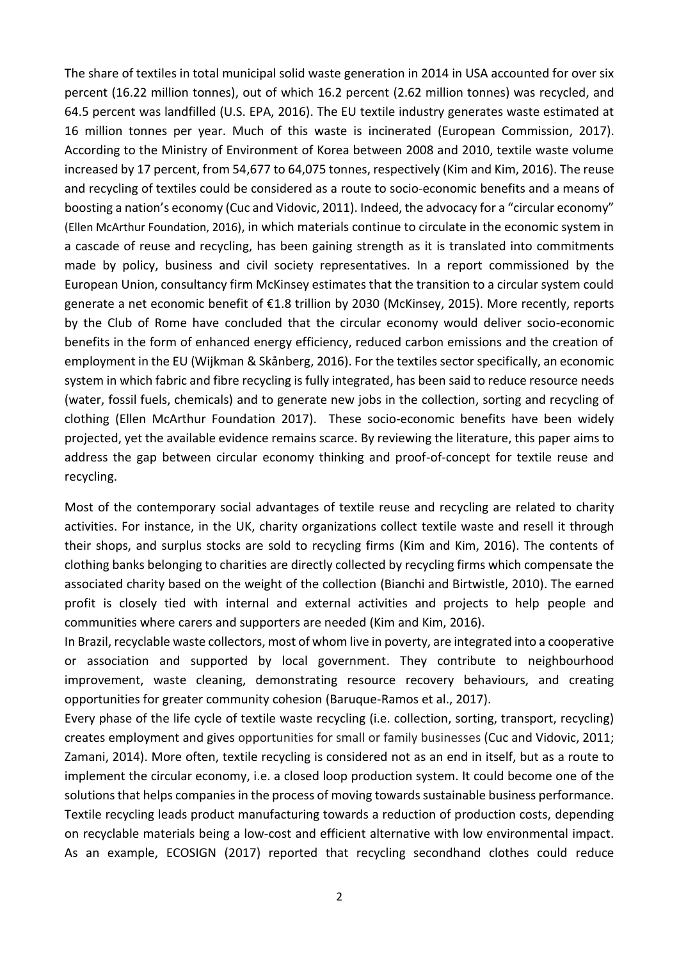The share of textiles in total municipal solid waste generation in 2014 in USA accounted for over six percent (16.22 million tonnes), out of which 16.2 percent (2.62 million tonnes) was recycled, and 64.5 percent was landfilled (U.S. EPA, 2016). The EU textile industry generates waste estimated at 16 million tonnes per year. Much of this waste is incinerated (European Commission, 2017). According to the Ministry of Environment of Korea between 2008 and 2010, textile waste volume increased by 17 percent, from 54,677 to 64,075 tonnes, respectively (Kim and Kim, 2016). The reuse and recycling of textiles could be considered as a route to socio-economic benefits and a means of boosting a nation's economy (Cuc and Vidovic, 2011). Indeed, the advocacy for a "circular economy" (Ellen McArthur Foundation, 2016), in which materials continue to circulate in the economic system in a cascade of reuse and recycling, has been gaining strength as it is translated into commitments made by policy, business and civil society representatives. In a report commissioned by the European Union, consultancy firm McKinsey estimates that the transition to a circular system could generate a net economic benefit of €1.8 trillion by 2030 (McKinsey, 2015). More recently, reports by the Club of Rome have concluded that the circular economy would deliver socio-economic benefits in the form of enhanced energy efficiency, reduced carbon emissions and the creation of employment in the EU (Wijkman & SkÂnberg, 2016). For the textiles sector specifically, an economic system in which fabric and fibre recycling is fully integrated, has been said to reduce resource needs (water, fossil fuels, chemicals) and to generate new jobs in the collection, sorting and recycling of clothing (Ellen McArthur Foundation 2017). These socio-economic benefits have been widely projected, yet the available evidence remains scarce. By reviewing the literature, this paper aims to address the gap between circular economy thinking and proof-of-concept for textile reuse and recycling.

Most of the contemporary social advantages of textile reuse and recycling are related to charity activities. For instance, in the UK, charity organizations collect textile waste and resell it through their shops, and surplus stocks are sold to recycling firms (Kim and Kim, 2016). The contents of clothing banks belonging to charities are directly collected by recycling firms which compensate the associated charity based on the weight of the collection (Bianchi and Birtwistle, 2010). The earned profit is closely tied with internal and external activities and projects to help people and communities where carers and supporters are needed (Kim and Kim, 2016).

In Brazil, recyclable waste collectors, most of whom live in poverty, are integrated into a cooperative or association and supported by local government. They contribute to neighbourhood improvement, waste cleaning, demonstrating resource recovery behaviours, and creating opportunities for greater community cohesion (Baruque-Ramos et al., 2017).

Every phase of the life cycle of textile waste recycling (i.e. collection, sorting, transport, recycling) creates employment and gives opportunities for small or family businesses (Cuc and Vidovic, 2011; Zamani, 2014). More often, textile recycling is considered not as an end in itself, but as a route to implement the circular economy, i.e. a closed loop production system. It could become one of the solutions that helps companies in the process of moving towards sustainable business performance. Textile recycling leads product manufacturing towards a reduction of production costs, depending on recyclable materials being a low-cost and efficient alternative with low environmental impact. As an example, ECOSIGN (2017) reported that recycling secondhand clothes could reduce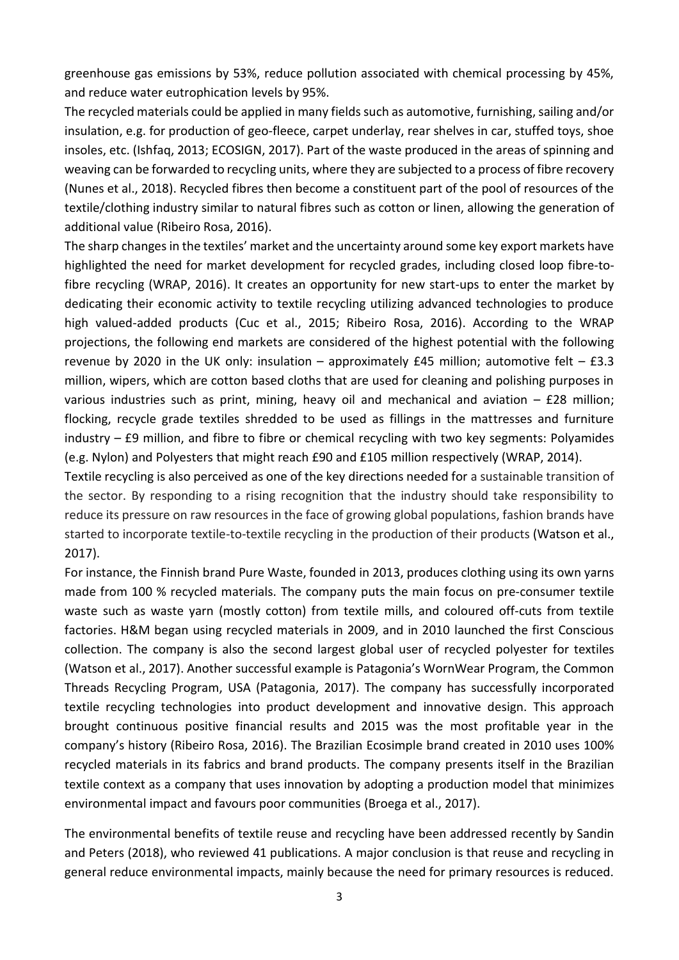greenhouse gas emissions by 53%, reduce pollution associated with chemical processing by 45%, and reduce water eutrophication levels by 95%.

The recycled materials could be applied in many fields such as automotive, furnishing, sailing and/or insulation, e.g. for production of geo-fleece, carpet underlay, rear shelves in car, stuffed toys, shoe insoles, etc. (Ishfaq, 2013; ECOSIGN, 2017). Part of the waste produced in the areas of spinning and weaving can be forwarded to recycling units, where they are subjected to a process of fibre recovery (Nunes et al., 2018). Recycled fibres then become a constituent part of the pool of resources of the textile/clothing industry similar to natural fibres such as cotton or linen, allowing the generation of additional value (Ribeiro Rosa, 2016).

The sharp changes in the textiles' market and the uncertainty around some key export markets have highlighted the need for market development for recycled grades, including closed loop fibre-tofibre recycling (WRAP, 2016). It creates an opportunity for new start-ups to enter the market by dedicating their economic activity to textile recycling utilizing advanced technologies to produce high valued-added products (Cuc et al., 2015; Ribeiro Rosa, 2016). According to the WRAP projections, the following end markets are considered of the highest potential with the following revenue by 2020 in the UK only: insulation – approximately  $£45$  million; automotive felt –  $£3.3$ million, wipers, which are cotton based cloths that are used for cleaning and polishing purposes in various industries such as print, mining, heavy oil and mechanical and aviation  $-$  £28 million; flocking, recycle grade textiles shredded to be used as fillings in the mattresses and furniture  $industry - E9$  million, and fibre to fibre or chemical recycling with two key segments: Polyamides (e.g. Nylon) and Polyesters that might reach £90 and £105 million respectively (WRAP, 2014).

Textile recycling is also perceived as one of the key directions needed for a sustainable transition of the sector. By responding to a rising recognition that the industry should take responsibility to reduce its pressure on raw resources in the face of growing global populations, fashion brands have started to incorporate textile-to-textile recycling in the production of their products (Watson et al., 2017).

For instance, the Finnish brand Pure Waste, founded in 2013, produces clothing using its own yarns made from 100 % recycled materials. The company puts the main focus on pre-consumer textile waste such as waste yarn (mostly cotton) from textile mills, and coloured off-cuts from textile factories. H&M began using recycled materials in 2009, and in 2010 launched the first Conscious collection. The company is also the second largest global user of recycled polyester for textiles (Watson et al., 2017). Another successful example is Patagonia's WornWear Program, the Common Threads Recycling Program, USA (Patagonia, 2017). The company has successfully incorporated textile recycling technologies into product development and innovative design. This approach brought continuous positive financial results and 2015 was the most profitable year in the company's history (Ribeiro Rosa, 2016). The Brazilian Ecosimple brand created in 2010 uses 100% recycled materials in its fabrics and brand products. The company presents itself in the Brazilian textile context as a company that uses innovation by adopting a production model that minimizes environmental impact and favours poor communities (Broega et al., 2017).

The environmental benefits of textile reuse and recycling have been addressed recently by Sandin and Peters (2018), who reviewed 41 publications. A major conclusion is that reuse and recycling in general reduce environmental impacts, mainly because the need for primary resources is reduced.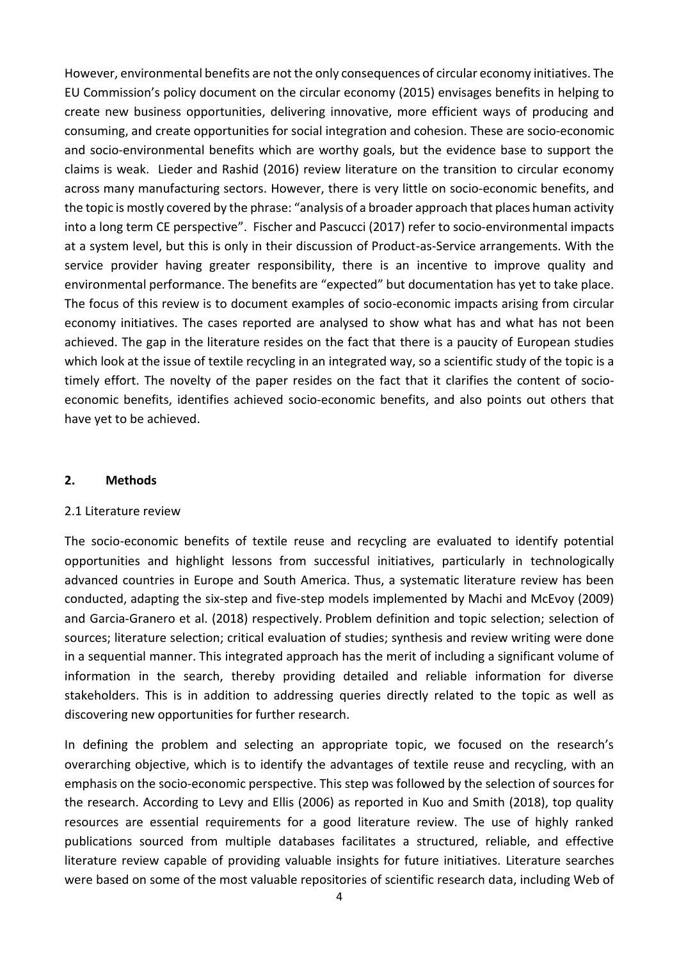However, environmental benefits are not the only consequences of circular economy initiatives. The EU Commission's policy document on the circular economy (2015) envisages benefits in helping to create new business opportunities, delivering innovative, more efficient ways of producing and consuming, and create opportunities for social integration and cohesion. These are socio-economic and socio-environmental benefits which are worthy goals, but the evidence base to support the claims is weak. Lieder and Rashid (2016) review literature on the transition to circular economy across many manufacturing sectors. However, there is very little on socio-economic benefits, and the topic is mostly covered by the phrase: "analysis of a broader approach that places human activity into a long term CE perspective". Fischer and Pascucci (2017) refer to socio-environmental impacts at a system level, but this is only in their discussion of Product-as-Service arrangements. With the service provider having greater responsibility, there is an incentive to improve quality and environmental performance. The benefits are "expected" but documentation has yet to take place. The focus of this review is to document examples of socio-economic impacts arising from circular economy initiatives. The cases reported are analysed to show what has and what has not been achieved. The gap in the literature resides on the fact that there is a paucity of European studies which look at the issue of textile recycling in an integrated way, so a scientific study of the topic is a timely effort. The novelty of the paper resides on the fact that it clarifies the content of socioeconomic benefits, identifies achieved socio-economic benefits, and also points out others that have yet to be achieved.

### **2. Methods**

### 2.1 Literature review

The socio-economic benefits of textile reuse and recycling are evaluated to identify potential opportunities and highlight lessons from successful initiatives, particularly in technologically advanced countries in Europe and South America. Thus, a systematic literature review has been conducted, adapting the six-step and five-step models implemented by Machi and McEvoy (2009) and Garcia-Granero et al. (2018) respectively. Problem definition and topic selection; selection of sources; literature selection; critical evaluation of studies; synthesis and review writing were done in a sequential manner. This integrated approach has the merit of including a significant volume of information in the search, thereby providing detailed and reliable information for diverse stakeholders. This is in addition to addressing queries directly related to the topic as well as discovering new opportunities for further research.

In defining the problem and selecting an appropriate topic, we focused on the research's overarching objective, which is to identify the advantages of textile reuse and recycling, with an emphasis on the socio-economic perspective. This step was followed by the selection of sources for the research. According to Levy and Ellis (2006) as reported in Kuo and Smith (2018), top quality resources are essential requirements for a good literature review. The use of highly ranked publications sourced from multiple databases facilitates a structured, reliable, and effective literature review capable of providing valuable insights for future initiatives. Literature searches were based on some of the most valuable repositories of scientific research data, including Web of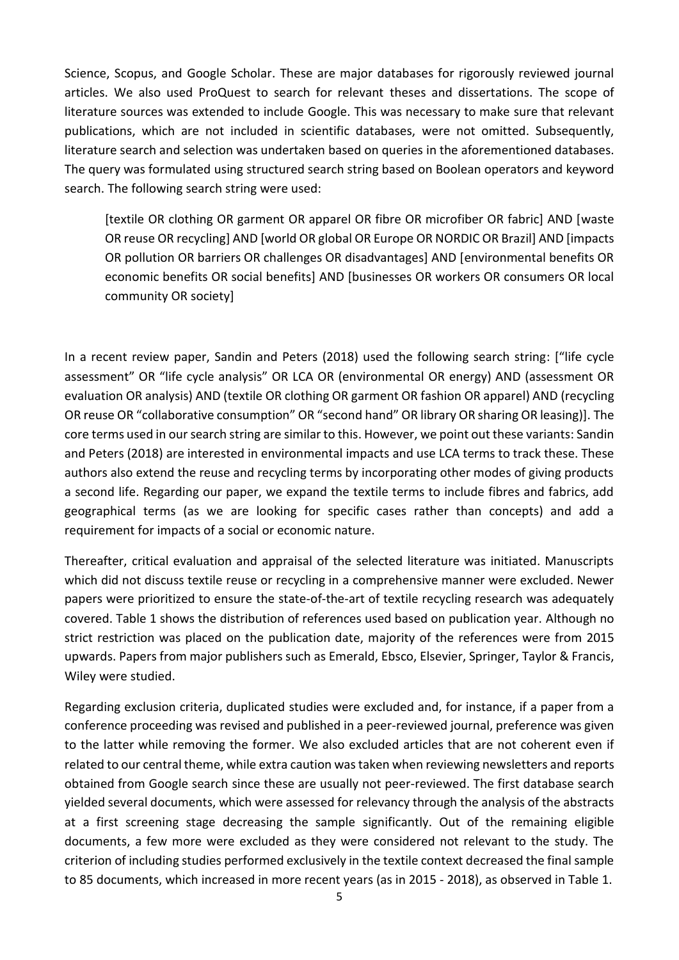Science, Scopus, and Google Scholar. These are major databases for rigorously reviewed journal articles. We also used ProQuest to search for relevant theses and dissertations. The scope of literature sources was extended to include Google. This was necessary to make sure that relevant publications, which are not included in scientific databases, were not omitted. Subsequently, literature search and selection was undertaken based on queries in the aforementioned databases. The query was formulated using structured search string based on Boolean operators and keyword search. The following search string were used:

[textile OR clothing OR garment OR apparel OR fibre OR microfiber OR fabric] AND [waste OR reuse OR recycling] AND [world OR global OR Europe OR NORDIC OR Brazil] AND [impacts OR pollution OR barriers OR challenges OR disadvantages] AND [environmental benefits OR economic benefits OR social benefits] AND [businesses OR workers OR consumers OR local community OR society]

In a recent review paper, Sandin and Peters (2018) used the following search string: ["life cycle assessment" OR "life cycle analysis" OR LCA OR (environmental OR energy) AND (assessment OR evaluation OR analysis) AND (textile OR clothing OR garment OR fashion OR apparel) AND (recycling OR reuse OR "collaborative consumption" OR "second hand" OR library OR sharing OR leasing)]. The core terms used in our search string are similar to this. However, we point out these variants: Sandin and Peters (2018) are interested in environmental impacts and use LCA terms to track these. These authors also extend the reuse and recycling terms by incorporating other modes of giving products a second life. Regarding our paper, we expand the textile terms to include fibres and fabrics, add geographical terms (as we are looking for specific cases rather than concepts) and add a requirement for impacts of a social or economic nature.

Thereafter, critical evaluation and appraisal of the selected literature was initiated. Manuscripts which did not discuss textile reuse or recycling in a comprehensive manner were excluded. Newer papers were prioritized to ensure the state-of-the-art of textile recycling research was adequately covered. Table 1 shows the distribution of references used based on publication year. Although no strict restriction was placed on the publication date, majority of the references were from 2015 upwards. Papers from major publishers such as Emerald, Ebsco, Elsevier, Springer, Taylor & Francis, Wiley were studied.

Regarding exclusion criteria, duplicated studies were excluded and, for instance, if a paper from a conference proceeding was revised and published in a peer-reviewed journal, preference was given to the latter while removing the former. We also excluded articles that are not coherent even if related to our central theme, while extra caution was taken when reviewing newsletters and reports obtained from Google search since these are usually not peer-reviewed. The first database search yielded several documents, which were assessed for relevancy through the analysis of the abstracts at a first screening stage decreasing the sample significantly. Out of the remaining eligible documents, a few more were excluded as they were considered not relevant to the study. The criterion of including studies performed exclusively in the textile context decreased the final sample to 85 documents, which increased in more recent years (as in 2015 - 2018), as observed in Table 1.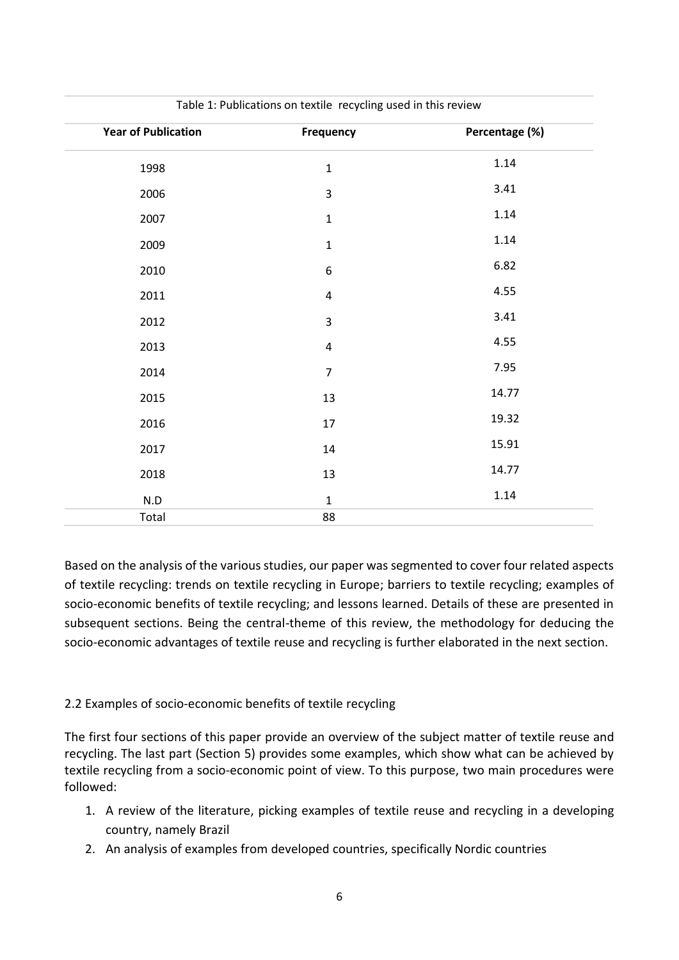| <b>Year of Publication</b> | Frequency               | Percentage (%) |
|----------------------------|-------------------------|----------------|
| 1998                       | $\mathbf 1$             | 1.14           |
| 2006                       | 3                       | 3.41           |
| 2007                       | $\mathbf 1$             | 1.14           |
| 2009                       | $\mathbf 1$             | 1.14           |
| 2010                       | $\boldsymbol{6}$        | 6.82           |
| 2011                       | $\overline{\mathbf{4}}$ | 4.55           |
| 2012                       | 3                       | 3.41           |
| 2013                       | $\pmb{4}$               | 4.55           |
| 2014                       | $\overline{7}$          | 7.95           |
| 2015                       | 13                      | 14.77          |
| 2016                       | $17\,$                  | 19.32          |
| 2017                       | 14                      | 15.91          |
| 2018                       | $13\,$                  | 14.77          |
| N.D                        | $\mathbf 1$             | 1.14           |
| Total                      | 88                      |                |

Table 1: Publications on textile recycling used in this review

Based on the analysis of the various studies, our paper was segmented to cover four related aspects of textile recycling: trends on textile recycling in Europe; barriers to textile recycling; examples of socio-economic benefits of textile recycling; and lessons learned. Details of these are presented in subsequent sections. Being the central-theme of this review, the methodology for deducing the socio-economic advantages of textile reuse and recycling is further elaborated in the next section.

# 2.2 Examples of socio-economic benefits of textile recycling

The first four sections of this paper provide an overview of the subject matter of textile reuse and recycling. The last part (Section 5) provides some examples, which show what can be achieved by textile recycling from a socio-economic point of view. To this purpose, two main procedures were followed:

- 1. A review of the literature, picking examples of textile reuse and recycling in a developing country, namely Brazil
- 2. An analysis of examples from developed countries, specifically Nordic countries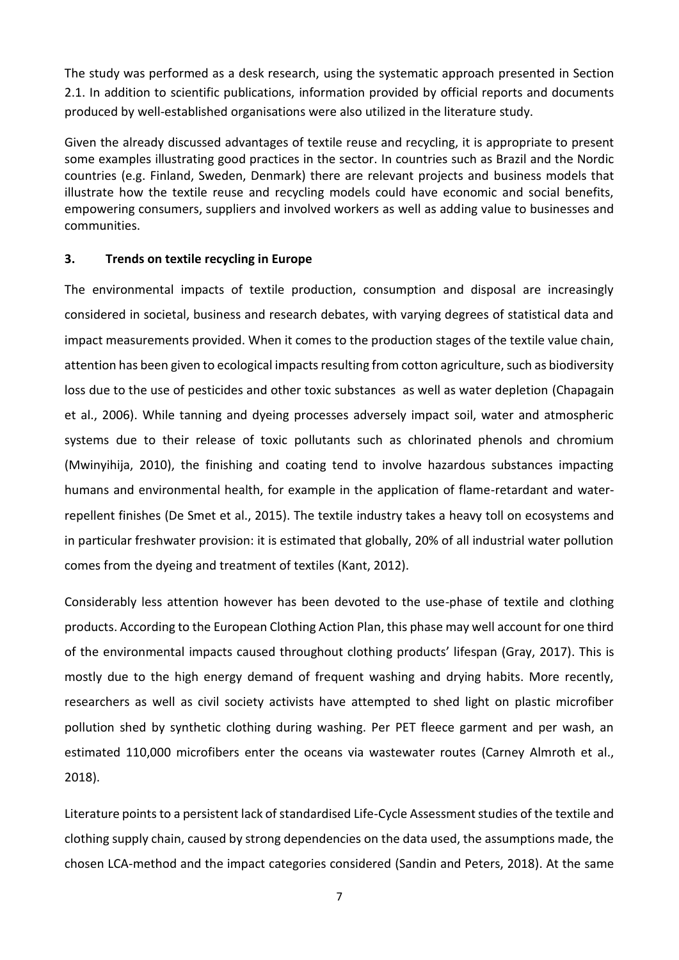The study was performed as a desk research, using the systematic approach presented in Section 2.1. In addition to scientific publications, information provided by official reports and documents produced by well-established organisations were also utilized in the literature study.

Given the already discussed advantages of textile reuse and recycling, it is appropriate to present some examples illustrating good practices in the sector. In countries such as Brazil and the Nordic countries (e.g. Finland, Sweden, Denmark) there are relevant projects and business models that illustrate how the textile reuse and recycling models could have economic and social benefits, empowering consumers, suppliers and involved workers as well as adding value to businesses and communities.

# **3. Trends on textile recycling in Europe**

The environmental impacts of textile production, consumption and disposal are increasingly considered in societal, business and research debates, with varying degrees of statistical data and impact measurements provided. When it comes to the production stages of the textile value chain, attention has been given to ecological impacts resulting from cotton agriculture, such as biodiversity loss due to the use of pesticides and other toxic substances as well as water depletion (Chapagain et al., 2006). While tanning and dyeing processes adversely impact soil, water and atmospheric systems due to their release of toxic pollutants such as chlorinated phenols and chromium (Mwinyihija, 2010), the finishing and coating tend to involve hazardous substances impacting humans and environmental health, for example in the application of flame-retardant and waterrepellent finishes (De Smet et al., 2015). The textile industry takes a heavy toll on ecosystems and in particular freshwater provision: it is estimated that globally, 20% of all industrial water pollution comes from the dyeing and treatment of textiles (Kant, 2012).

Considerably less attention however has been devoted to the use-phase of textile and clothing products. According to the European Clothing Action Plan, this phase may well account for one third of the environmental impacts caused throughout clothing products' lifespan (Gray, 2017). This is mostly due to the high energy demand of frequent washing and drying habits. More recently, researchers as well as civil society activists have attempted to shed light on plastic microfiber pollution shed by synthetic clothing during washing. Per PET fleece garment and per wash, an estimated 110,000 microfibers enter the oceans via wastewater routes (Carney Almroth et al., 2018).

Literature points to a persistent lack of standardised Life-Cycle Assessment studies of the textile and clothing supply chain, caused by strong dependencies on the data used, the assumptions made, the chosen LCA-method and the impact categories considered (Sandin and Peters, 2018). At the same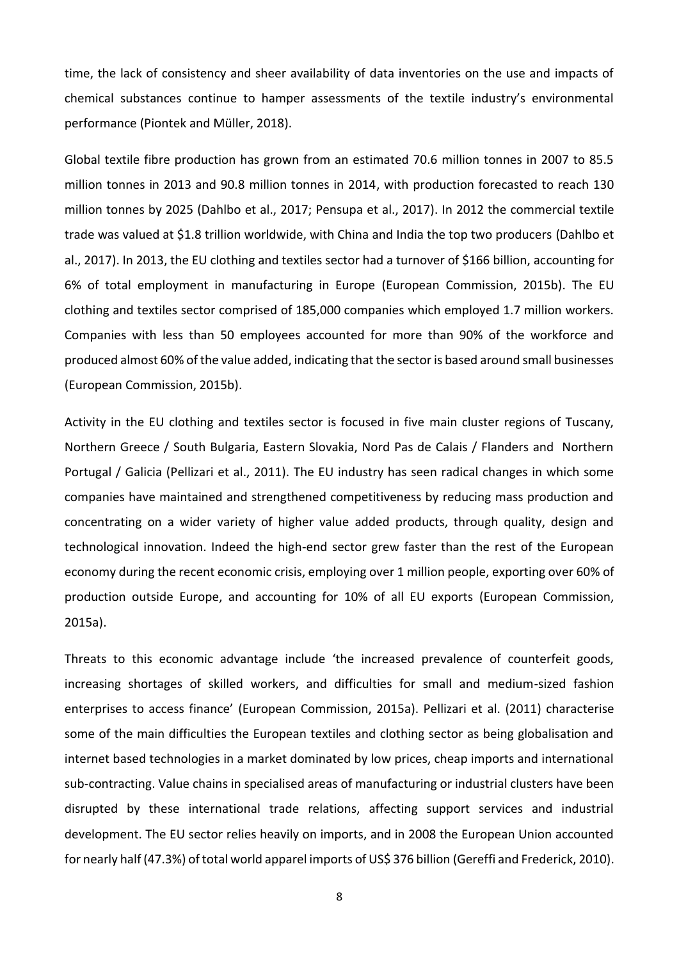time, the lack of consistency and sheer availability of data inventories on the use and impacts of chemical substances continue to hamper assessments of the textile industry's environmental performance (Piontek and Müller, 2018).

Global textile fibre production has grown from an estimated 70.6 million tonnes in 2007 to 85.5 million tonnes in 2013 and 90.8 million tonnes in 2014, with production forecasted to reach 130 million tonnes by 2025 (Dahlbo et al., 2017; Pensupa et al., 2017). In 2012 the commercial textile trade was valued at \$1.8 trillion worldwide, with China and India the top two producers (Dahlbo et al., 2017). In 2013, the EU clothing and textiles sector had a turnover of \$166 billion, accounting for 6% of total employment in manufacturing in Europe (European Commission, 2015b). The EU clothing and textiles sector comprised of 185,000 companies which employed 1.7 million workers. Companies with less than 50 employees accounted for more than 90% of the workforce and produced almost 60% of the value added, indicating that the sector is based around small businesses (European Commission, 2015b).

Activity in the EU clothing and textiles sector is focused in five main cluster regions of Tuscany, Northern Greece / South Bulgaria, Eastern Slovakia, Nord Pas de Calais / Flanders and Northern Portugal / Galicia (Pellizari et al., 2011). The EU industry has seen radical changes in which some companies have maintained and strengthened competitiveness by reducing mass production and concentrating on a wider variety of higher value added products, through quality, design and technological innovation. Indeed the high-end sector grew faster than the rest of the European economy during the recent economic crisis, employing over 1 million people, exporting over 60% of production outside Europe, and accounting for 10% of all EU exports (European Commission, 2015a).

Threats to this economic advantage include 'the increased prevalence of counterfeit goods, increasing shortages of skilled workers, and difficulties for small and medium-sized fashion enterprises to access finance' (European Commission, 2015a). Pellizari et al. (2011) characterise some of the main difficulties the European textiles and clothing sector as being globalisation and internet based technologies in a market dominated by low prices, cheap imports and international sub-contracting. Value chains in specialised areas of manufacturing or industrial clusters have been disrupted by these international trade relations, affecting support services and industrial development. The EU sector relies heavily on imports, and in 2008 the European Union accounted for nearly half (47.3%) of total world apparel imports of US\$ 376 billion (Gereffi and Frederick, 2010).

8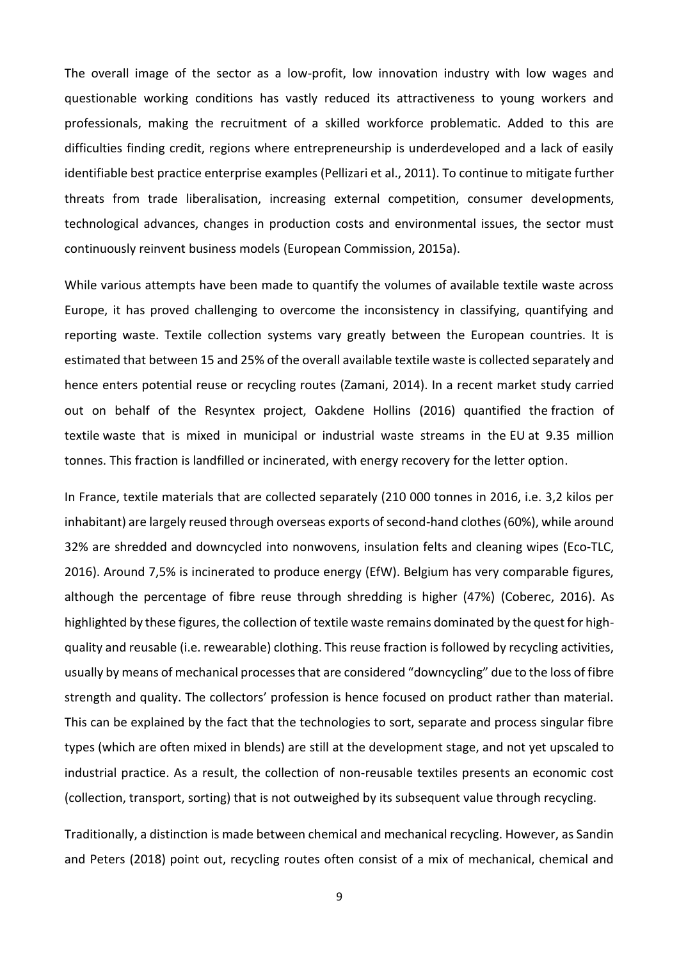The overall image of the sector as a low-profit, low innovation industry with low wages and questionable working conditions has vastly reduced its attractiveness to young workers and professionals, making the recruitment of a skilled workforce problematic. Added to this are difficulties finding credit, regions where entrepreneurship is underdeveloped and a lack of easily identifiable best practice enterprise examples (Pellizari et al., 2011). To continue to mitigate further threats from trade liberalisation, increasing external competition, consumer developments, technological advances, changes in production costs and environmental issues, the sector must continuously reinvent business models (European Commission, 2015a).

While various attempts have been made to quantify the volumes of available textile waste across Europe, it has proved challenging to overcome the inconsistency in classifying, quantifying and reporting waste. Textile collection systems vary greatly between the European countries. It is estimated that between 15 and 25% of the overall available textile waste is collected separately and hence enters potential reuse or recycling routes (Zamani, 2014). In a recent market study carried out on behalf of the Resyntex project, Oakdene Hollins (2016) quantified the fraction of textile waste that is mixed in municipal or industrial waste streams in the EU at 9.35 million tonnes. This fraction is landfilled or incinerated, with energy recovery for the letter option.

In France, textile materials that are collected separately (210 000 tonnes in 2016, i.e. 3,2 kilos per inhabitant) are largely reused through overseas exports of second-hand clothes (60%), while around 32% are shredded and downcycled into nonwovens, insulation felts and cleaning wipes (Eco-TLC, 2016). Around 7,5% is incinerated to produce energy (EfW). Belgium has very comparable figures, although the percentage of fibre reuse through shredding is higher (47%) (Coberec, 2016). As highlighted by these figures, the collection of textile waste remains dominated by the quest for highquality and reusable (i.e. rewearable) clothing. This reuse fraction is followed by recycling activities, usually by means of mechanical processes that are considered "downcycling" due to the loss of fibre strength and quality. The collectors' profession is hence focused on product rather than material. This can be explained by the fact that the technologies to sort, separate and process singular fibre types (which are often mixed in blends) are still at the development stage, and not yet upscaled to industrial practice. As a result, the collection of non-reusable textiles presents an economic cost (collection, transport, sorting) that is not outweighed by its subsequent value through recycling.

Traditionally, a distinction is made between chemical and mechanical recycling. However, as Sandin and Peters (2018) point out, recycling routes often consist of a mix of mechanical, chemical and

9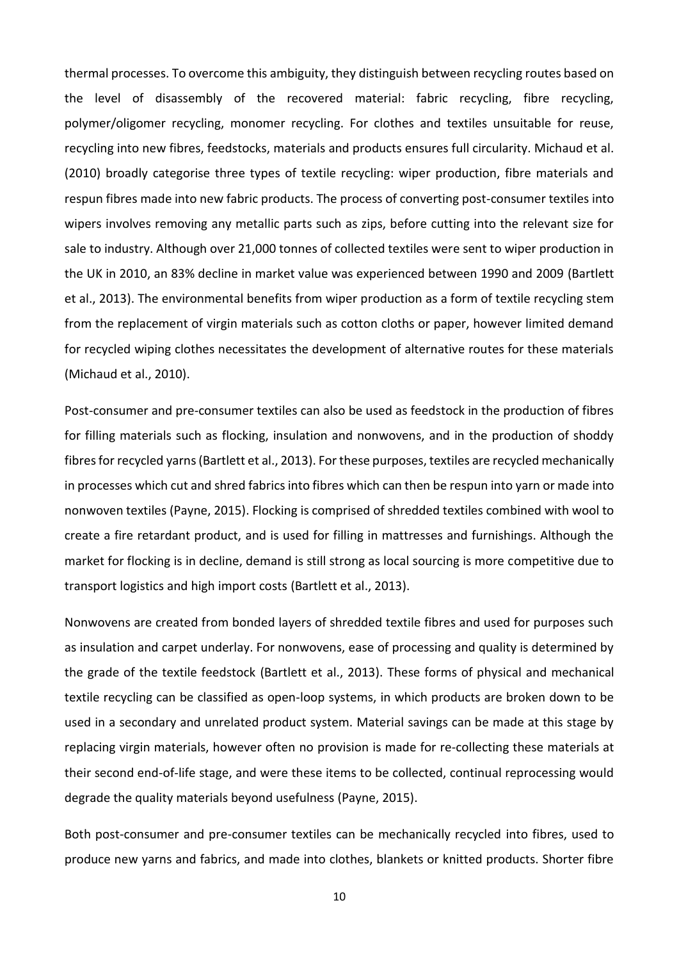thermal processes. To overcome this ambiguity, they distinguish between recycling routes based on the level of disassembly of the recovered material: fabric recycling, fibre recycling, polymer/oligomer recycling, monomer recycling. For clothes and textiles unsuitable for reuse, recycling into new fibres, feedstocks, materials and products ensures full circularity. Michaud et al. (2010) broadly categorise three types of textile recycling: wiper production, fibre materials and respun fibres made into new fabric products. The process of converting post-consumer textiles into wipers involves removing any metallic parts such as zips, before cutting into the relevant size for sale to industry. Although over 21,000 tonnes of collected textiles were sent to wiper production in the UK in 2010, an 83% decline in market value was experienced between 1990 and 2009 (Bartlett et al., 2013). The environmental benefits from wiper production as a form of textile recycling stem from the replacement of virgin materials such as cotton cloths or paper, however limited demand for recycled wiping clothes necessitates the development of alternative routes for these materials (Michaud et al., 2010).

Post-consumer and pre-consumer textiles can also be used as feedstock in the production of fibres for filling materials such as flocking, insulation and nonwovens, and in the production of shoddy fibres for recycled yarns (Bartlett et al., 2013). For these purposes, textiles are recycled mechanically in processes which cut and shred fabrics into fibres which can then be respun into yarn or made into nonwoven textiles (Payne, 2015). Flocking is comprised of shredded textiles combined with wool to create a fire retardant product, and is used for filling in mattresses and furnishings. Although the market for flocking is in decline, demand is still strong as local sourcing is more competitive due to transport logistics and high import costs (Bartlett et al., 2013).

Nonwovens are created from bonded layers of shredded textile fibres and used for purposes such as insulation and carpet underlay. For nonwovens, ease of processing and quality is determined by the grade of the textile feedstock (Bartlett et al., 2013). These forms of physical and mechanical textile recycling can be classified as open-loop systems, in which products are broken down to be used in a secondary and unrelated product system. Material savings can be made at this stage by replacing virgin materials, however often no provision is made for re-collecting these materials at their second end-of-life stage, and were these items to be collected, continual reprocessing would degrade the quality materials beyond usefulness (Payne, 2015).

Both post-consumer and pre-consumer textiles can be mechanically recycled into fibres, used to produce new yarns and fabrics, and made into clothes, blankets or knitted products. Shorter fibre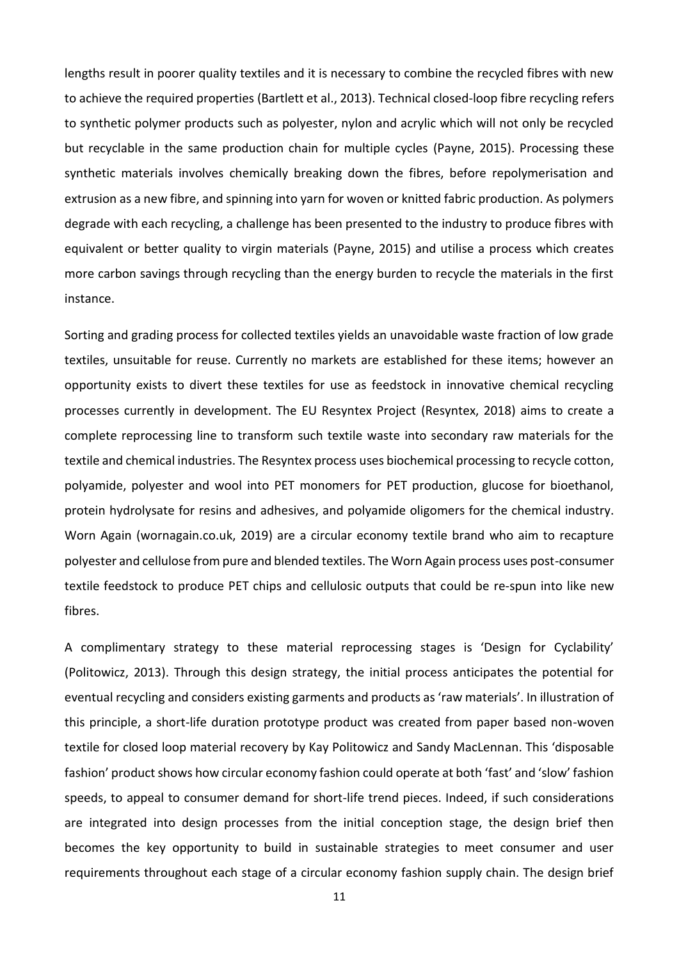lengths result in poorer quality textiles and it is necessary to combine the recycled fibres with new to achieve the required properties (Bartlett et al., 2013). Technical closed-loop fibre recycling refers to synthetic polymer products such as polyester, nylon and acrylic which will not only be recycled but recyclable in the same production chain for multiple cycles (Payne, 2015). Processing these synthetic materials involves chemically breaking down the fibres, before repolymerisation and extrusion as a new fibre, and spinning into yarn for woven or knitted fabric production. As polymers degrade with each recycling, a challenge has been presented to the industry to produce fibres with equivalent or better quality to virgin materials (Payne, 2015) and utilise a process which creates more carbon savings through recycling than the energy burden to recycle the materials in the first instance.

Sorting and grading process for collected textiles yields an unavoidable waste fraction of low grade textiles, unsuitable for reuse. Currently no markets are established for these items; however an opportunity exists to divert these textiles for use as feedstock in innovative chemical recycling processes currently in development. The EU Resyntex Project (Resyntex, 2018) aims to create a complete reprocessing line to transform such textile waste into secondary raw materials for the textile and chemical industries. The Resyntex process uses biochemical processing to recycle cotton, polyamide, polyester and wool into PET monomers for PET production, glucose for bioethanol, protein hydrolysate for resins and adhesives, and polyamide oligomers for the chemical industry. Worn Again (wornagain.co.uk, 2019) are a circular economy textile brand who aim to recapture polyester and cellulose from pure and blended textiles. The Worn Again process uses post-consumer textile feedstock to produce PET chips and cellulosic outputs that could be re-spun into like new fibres.

A complimentary strategy to these material reprocessing stages is 'Design for Cyclability' (Politowicz, 2013). Through this design strategy, the initial process anticipates the potential for eventual recycling and considers existing garments and products as 'raw materials'. In illustration of this principle, a short-life duration prototype product was created from paper based non-woven textile for closed loop material recovery by Kay Politowicz and Sandy MacLennan. This 'disposable fashion' product shows how circular economy fashion could operate at both 'fast' and 'slow' fashion speeds, to appeal to consumer demand for short-life trend pieces. Indeed, if such considerations are integrated into design processes from the initial conception stage, the design brief then becomes the key opportunity to build in sustainable strategies to meet consumer and user requirements throughout each stage of a circular economy fashion supply chain. The design brief

11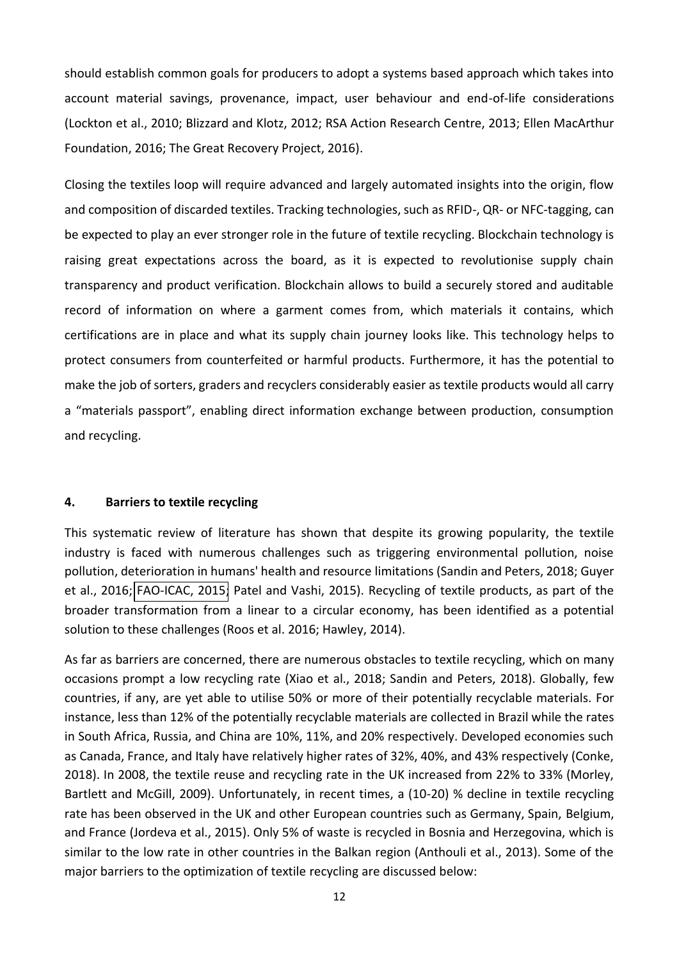should establish common goals for producers to adopt a systems based approach which takes into account material savings, provenance, impact, user behaviour and end-of-life considerations (Lockton et al., 2010; Blizzard and Klotz, 2012; RSA Action Research Centre, 2013; Ellen MacArthur Foundation, 2016; The Great Recovery Project, 2016).

Closing the textiles loop will require advanced and largely automated insights into the origin, flow and composition of discarded textiles. Tracking technologies, such as RFID-, QR- or NFC-tagging, can be expected to play an ever stronger role in the future of textile recycling. Blockchain technology is raising great expectations across the board, as it is expected to revolutionise supply chain transparency and product verification. Blockchain allows to build a securely stored and auditable record of information on where a garment comes from, which materials it contains, which certifications are in place and what its supply chain journey looks like. This technology helps to protect consumers from counterfeited or harmful products. Furthermore, it has the potential to make the job of sorters, graders and recyclers considerably easier as textile products would all carry a "materials passport", enabling direct information exchange between production, consumption and recycling.

### **4. Barriers to textile recycling**

This systematic review of literature has shown that despite its growing popularity, the textile industry is faced with numerous challenges such as triggering environmental pollution, noise pollution, deterioration in humans' health and resource limitations (Sandin and Peters, 2018; Guyer et al., 2016; [FAO-ICAC, 2015;](https://www.sciencedirect.com/science/article/pii/S0959652618305985#bib29) Patel and Vashi, 2015). Recycling of textile products, as part of the broader transformation from a linear to a circular economy, has been identified as a potential solution to these challenges (Roos et al. 2016; Hawley, 2014).

As far as barriers are concerned, there are numerous obstacles to textile recycling, which on many occasions prompt a low recycling rate (Xiao et al., 2018; Sandin and Peters, 2018). Globally, few countries, if any, are yet able to utilise 50% or more of their potentially recyclable materials. For instance, less than 12% of the potentially recyclable materials are collected in Brazil while the rates in South Africa, Russia, and China are 10%, 11%, and 20% respectively. Developed economies such as Canada, France, and Italy have relatively higher rates of 32%, 40%, and 43% respectively (Conke, 2018). In 2008, the textile reuse and recycling rate in the UK increased from 22% to 33% (Morley, Bartlett and McGill, 2009). Unfortunately, in recent times, a (10-20) % decline in textile recycling rate has been observed in the UK and other European countries such as Germany, Spain, Belgium, and France (Jordeva et al., 2015). Only 5% of waste is recycled in Bosnia and Herzegovina, which is similar to the low rate in other countries in the Balkan region (Anthouli et al., 2013). Some of the major barriers to the optimization of textile recycling are discussed below: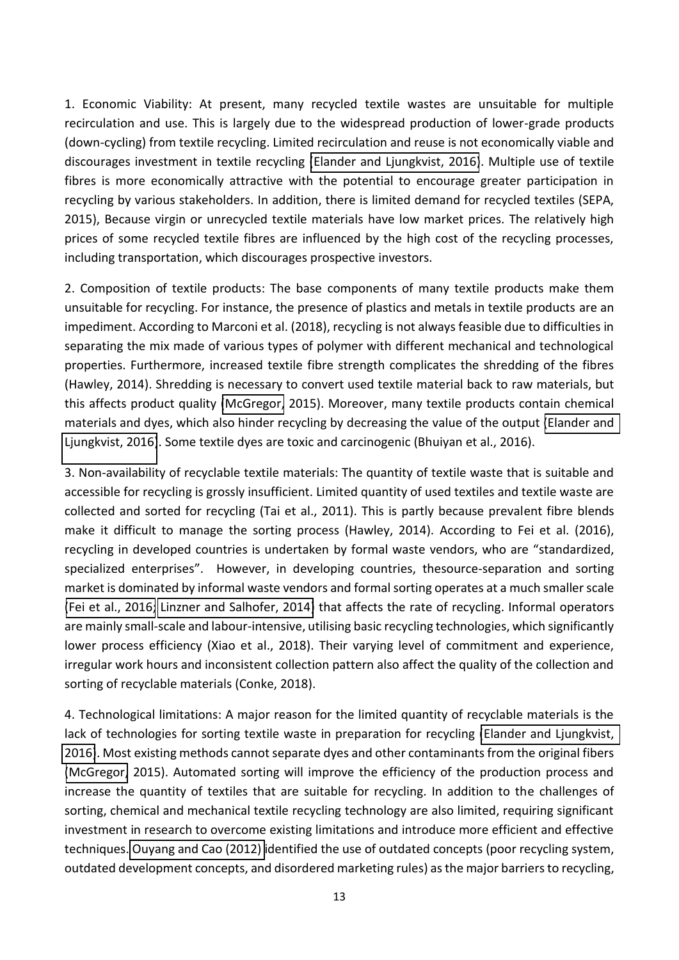1. Economic Viability: At present, many recycled textile wastes are unsuitable for multiple recirculation and use. This is largely due to the widespread production of lower-grade products (down-cycling) from textile recycling. Limited recirculation and reuse is not economically viable and discourages investment in textile recycling [\(Elander and Ljungkvist, 2016\)](https://www.sciencedirect.com/science/article/pii/S0959652618305985#bib20). Multiple use of textile fibres is more economically attractive with the potential to encourage greater participation in recycling by various stakeholders. In addition, there is limited demand for recycled textiles (SEPA, 2015), Because virgin or unrecycled textile materials have low market prices. The relatively high prices of some recycled textile fibres are influenced by the high cost of the recycling processes, including transportation, which discourages prospective investors.

2. Composition of textile products: The base components of many textile products make them unsuitable for recycling. For instance, the presence of plastics and metals in textile products are an impediment. According to Marconi et al. (2018), recycling is not always feasible due to difficulties in separating the mix made of various types of polymer with different mechanical and technological properties. Furthermore, increased textile fibre strength complicates the shredding of the fibres (Hawley, 2014). Shredding is necessary to convert used textile material back to raw materials, but this affects product quality [\(McGregor,](https://sourcingjournal.com/author/LyndsayM/) 2015). Moreover, many textile products contain chemical materials and dyes, which also hinder recycling by decreasing the value of the output [\(Elander and](https://www.sciencedirect.com/science/article/pii/S0959652618305985#bib20)  [Ljungkvist, 2016\)](https://www.sciencedirect.com/science/article/pii/S0959652618305985#bib20). Some textile dyes are toxic and carcinogenic (Bhuiyan et al., 2016).

3. Non-availability of recyclable textile materials: The quantity of textile waste that is suitable and accessible for recycling is grossly insufficient. Limited quantity of used textiles and textile waste are collected and sorted for recycling (Tai et al., 2011). This is partly because prevalent fibre blends make it difficult to manage the sorting process (Hawley, 2014). According to Fei et al. (2016), recycling in developed countries is undertaken by formal waste vendors, who are "standardized, specialized enterprises". However, in developing countries, thesource-separation and sorting market is dominated by informal waste vendors and formal sorting operates at a much smaller scale [\(Fei et al., 2016;](https://www.sciencedirect.com/science/article/pii/S0921344918300910#bib0060) [Linzner and Salhofer, 2014\)](https://www.sciencedirect.com/science/article/pii/S0921344918300910#bib0135) that affects the rate of recycling. Informal operators are mainly small-scale and labour-intensive, utilising basic recycling technologies, which significantly lower process efficiency (Xiao et al., 2018). Their varying level of commitment and experience, irregular work hours and inconsistent collection pattern also affect the quality of the collection and sorting of recyclable materials (Conke, 2018).

4. Technological limitations: A major reason for the limited quantity of recyclable materials is the lack of technologies for sorting textile waste in preparation for recycling [\(Elander and Ljungkvist,](https://www.sciencedirect.com/science/article/pii/S0959652618305985#bib20)  [2016\)](https://www.sciencedirect.com/science/article/pii/S0959652618305985#bib20). Most existing methods cannot separate dyes and other contaminants from the original fibers [\(McGregor,](https://sourcingjournal.com/author/LyndsayM/) 2015). Automated sorting will improve the efficiency of the production process and increase the quantity of textiles that are suitable for recycling. In addition to the challenges of sorting, chemical and mechanical textile recycling technology are also limited, requiring significant investment in research to overcome existing limitations and introduce more efficient and effective techniques. [Ouyang and Cao \(2012\)](https://www.sciencedirect.com/science/article/pii/S0921344918300910#bib0205) identified the use of outdated concepts (poor recycling system, outdated development concepts, and disordered marketing rules) as the major barriers to recycling,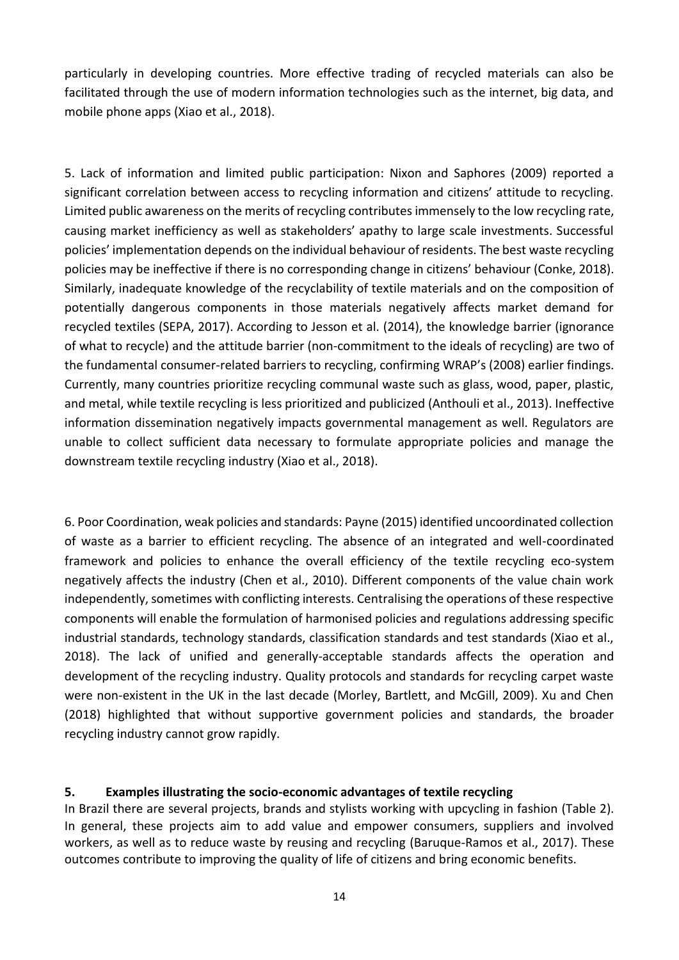particularly in developing countries. More effective trading of recycled materials can also be facilitated through the use of modern information technologies such as the internet, big data, and mobile phone apps (Xiao et al., 2018).

5. Lack of information and limited public participation: Nixon and Saphores (2009) reported a significant correlation between access to recycling information and citizens' attitude to recycling. Limited public awareness on the merits of recycling contributes immensely to the low recycling rate, causing market inefficiency as well as stakeholders' apathy to large scale investments. Successful policies' implementation depends on the individual behaviour of residents. The best waste recycling policies may be ineffective if there is no corresponding change in citizens' behaviour (Conke, 2018). Similarly, inadequate knowledge of the recyclability of textile materials and on the composition of potentially dangerous components in those materials negatively affects market demand for recycled textiles (SEPA, 2017). According to Jesson et al. (2014), the knowledge barrier (ignorance of what to recycle) and the attitude barrier (non-commitment to the ideals of recycling) are two of the fundamental consumer-related barriers to recycling, confirming WRAP's (2008) earlier findings. Currently, many countries prioritize recycling communal waste such as glass, wood, paper, plastic, and metal, while textile recycling is less prioritized and publicized (Anthouli et al., 2013). Ineffective information dissemination negatively impacts governmental management as well. Regulators are unable to collect sufficient data necessary to formulate appropriate policies and manage the downstream textile recycling industry (Xiao et al., 2018).

6. Poor Coordination, weak policies and standards: Payne (2015) identified uncoordinated collection of waste as a barrier to efficient recycling. The absence of an integrated and well-coordinated framework and policies to enhance the overall efficiency of the textile recycling eco-system negatively affects the industry (Chen et al., 2010). Different components of the value chain work independently, sometimes with conflicting interests. Centralising the operations of these respective components will enable the formulation of harmonised policies and regulations addressing specific industrial standards, technology standards, classification standards and test standards (Xiao et al., 2018). The lack of unified and generally-acceptable standards affects the operation and development of the recycling industry. Quality protocols and standards for recycling carpet waste were non-existent in the UK in the last decade (Morley, Bartlett, and McGill, 2009). Xu and Chen (2018) highlighted that without supportive government policies and standards, the broader recycling industry cannot grow rapidly.

# **5. Examples illustrating the socio-economic advantages of textile recycling**

In Brazil there are several projects, brands and stylists working with upcycling in fashion (Table 2). In general, these projects aim to add value and empower consumers, suppliers and involved workers, as well as to reduce waste by reusing and recycling (Baruque-Ramos et al., 2017). These outcomes contribute to improving the quality of life of citizens and bring economic benefits.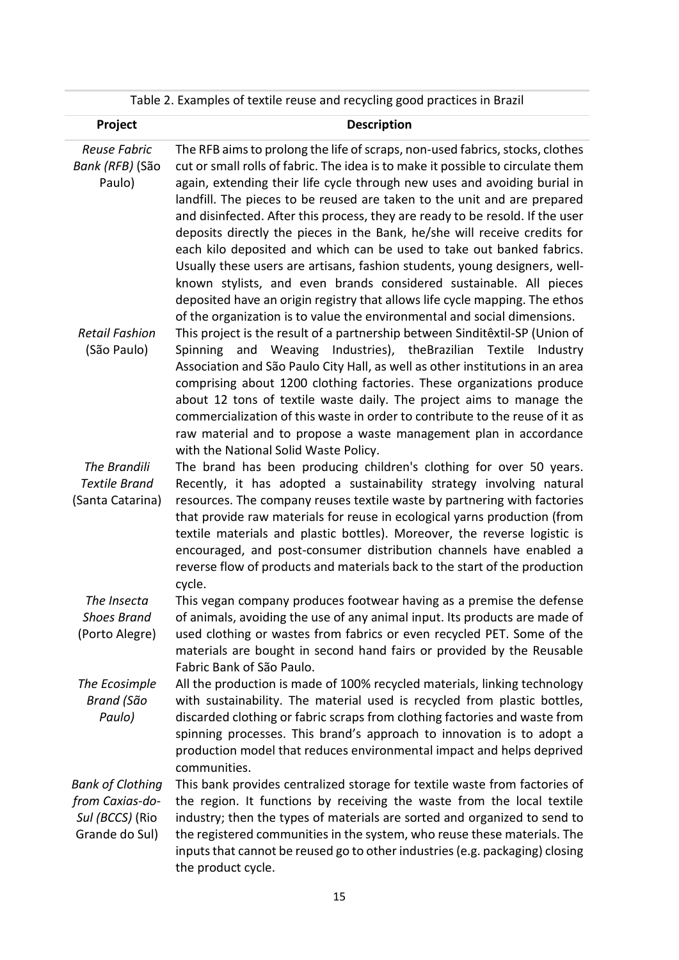Table 2. Examples of textile reuse and recycling good practices in Brazil

| Project                                                                         | <b>Description</b>                                                                                                                                                                                                                                                                                                                                                                                                                                                                                                                                                                                                                                                                                                                                                                                                                                                              |
|---------------------------------------------------------------------------------|---------------------------------------------------------------------------------------------------------------------------------------------------------------------------------------------------------------------------------------------------------------------------------------------------------------------------------------------------------------------------------------------------------------------------------------------------------------------------------------------------------------------------------------------------------------------------------------------------------------------------------------------------------------------------------------------------------------------------------------------------------------------------------------------------------------------------------------------------------------------------------|
| Reuse Fabric<br>Bank (RFB) (São<br>Paulo)                                       | The RFB aims to prolong the life of scraps, non-used fabrics, stocks, clothes<br>cut or small rolls of fabric. The idea is to make it possible to circulate them<br>again, extending their life cycle through new uses and avoiding burial in<br>landfill. The pieces to be reused are taken to the unit and are prepared<br>and disinfected. After this process, they are ready to be resold. If the user<br>deposits directly the pieces in the Bank, he/she will receive credits for<br>each kilo deposited and which can be used to take out banked fabrics.<br>Usually these users are artisans, fashion students, young designers, well-<br>known stylists, and even brands considered sustainable. All pieces<br>deposited have an origin registry that allows life cycle mapping. The ethos<br>of the organization is to value the environmental and social dimensions. |
| <b>Retail Fashion</b><br>(São Paulo)                                            | This project is the result of a partnership between Sinditêxtil-SP (Union of<br>Spinning and Weaving Industries), theBrazilian Textile Industry<br>Association and São Paulo City Hall, as well as other institutions in an area<br>comprising about 1200 clothing factories. These organizations produce<br>about 12 tons of textile waste daily. The project aims to manage the<br>commercialization of this waste in order to contribute to the reuse of it as<br>raw material and to propose a waste management plan in accordance<br>with the National Solid Waste Policy.                                                                                                                                                                                                                                                                                                 |
| The Brandili<br><b>Textile Brand</b><br>(Santa Catarina)                        | The brand has been producing children's clothing for over 50 years.<br>Recently, it has adopted a sustainability strategy involving natural<br>resources. The company reuses textile waste by partnering with factories<br>that provide raw materials for reuse in ecological yarns production (from<br>textile materials and plastic bottles). Moreover, the reverse logistic is<br>encouraged, and post-consumer distribution channels have enabled a<br>reverse flow of products and materials back to the start of the production<br>cycle.                                                                                                                                                                                                                                                                                                                                 |
| The Insecta<br><b>Shoes Brand</b><br>(Porto Alegre)                             | This vegan company produces footwear having as a premise the defense<br>of animals, avoiding the use of any animal input. Its products are made of<br>used clothing or wastes from fabrics or even recycled PET. Some of the<br>materials are bought in second hand fairs or provided by the Reusable<br>Fabric Bank of São Paulo.                                                                                                                                                                                                                                                                                                                                                                                                                                                                                                                                              |
| The Ecosimple<br>Brand (São<br>Paulo)                                           | All the production is made of 100% recycled materials, linking technology<br>with sustainability. The material used is recycled from plastic bottles,<br>discarded clothing or fabric scraps from clothing factories and waste from<br>spinning processes. This brand's approach to innovation is to adopt a<br>production model that reduces environmental impact and helps deprived<br>communities.                                                                                                                                                                                                                                                                                                                                                                                                                                                                           |
| <b>Bank of Clothing</b><br>from Caxias-do-<br>Sul (BCCS) (Rio<br>Grande do Sul) | This bank provides centralized storage for textile waste from factories of<br>the region. It functions by receiving the waste from the local textile<br>industry; then the types of materials are sorted and organized to send to<br>the registered communities in the system, who reuse these materials. The<br>inputs that cannot be reused go to other industries (e.g. packaging) closing<br>the product cycle.                                                                                                                                                                                                                                                                                                                                                                                                                                                             |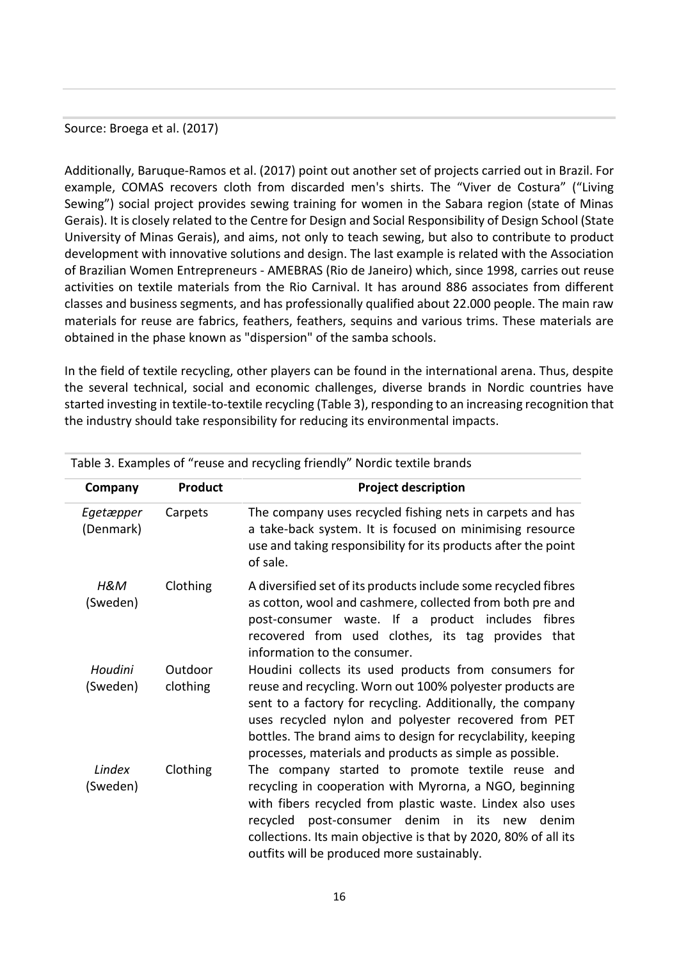### Source: Broega et al. (2017)

Additionally, Baruque-Ramos et al. (2017) point out another set of projects carried out in Brazil. For example, COMAS recovers cloth from discarded men's shirts. The "Viver de Costura" ("Living Sewing") social project provides sewing training for women in the Sabara region (state of Minas Gerais). It is closely related to the Centre for Design and Social Responsibility of Design School (State University of Minas Gerais), and aims, not only to teach sewing, but also to contribute to product development with innovative solutions and design. The last example is related with the Association of Brazilian Women Entrepreneurs - AMEBRAS (Rio de Janeiro) which, since 1998, carries out reuse activities on textile materials from the Rio Carnival. It has around 886 associates from different classes and business segments, and has professionally qualified about 22.000 people. The main raw materials for reuse are fabrics, feathers, feathers, sequins and various trims. These materials are obtained in the phase known as "dispersion" of the samba schools.

In the field of textile recycling, other players can be found in the international arena. Thus, despite the several technical, social and economic challenges, diverse brands in Nordic countries have started investing in textile-to-textile recycling (Table 3), responding to an increasing recognition that the industry should take responsibility for reducing its environmental impacts.

| Company                | <b>Product</b> | <b>Project description</b>                                                                                                                                                                                                                                                                                                                    |
|------------------------|----------------|-----------------------------------------------------------------------------------------------------------------------------------------------------------------------------------------------------------------------------------------------------------------------------------------------------------------------------------------------|
| Egetæpper<br>(Denmark) | Carpets        | The company uses recycled fishing nets in carpets and has<br>a take-back system. It is focused on minimising resource<br>use and taking responsibility for its products after the point<br>of sale.                                                                                                                                           |
| H&M<br>(Sweden)        | Clothing       | A diversified set of its products include some recycled fibres<br>as cotton, wool and cashmere, collected from both pre and<br>post-consumer waste. If a product includes fibres<br>recovered from used clothes, its tag provides that<br>information to the consumer.                                                                        |
| Houdini                | Outdoor        | Houdini collects its used products from consumers for                                                                                                                                                                                                                                                                                         |
| (Sweden)               | clothing       | reuse and recycling. Worn out 100% polyester products are<br>sent to a factory for recycling. Additionally, the company<br>uses recycled nylon and polyester recovered from PET<br>bottles. The brand aims to design for recyclability, keeping<br>processes, materials and products as simple as possible.                                   |
| Lindex<br>(Sweden)     | Clothing       | The company started to promote textile reuse and<br>recycling in cooperation with Myrorna, a NGO, beginning<br>with fibers recycled from plastic waste. Lindex also uses<br>post-consumer denim in its new denim<br>recycled<br>collections. Its main objective is that by 2020, 80% of all its<br>outfits will be produced more sustainably. |

Table 3. Examples of "reuse and recycling friendly" Nordic textile brands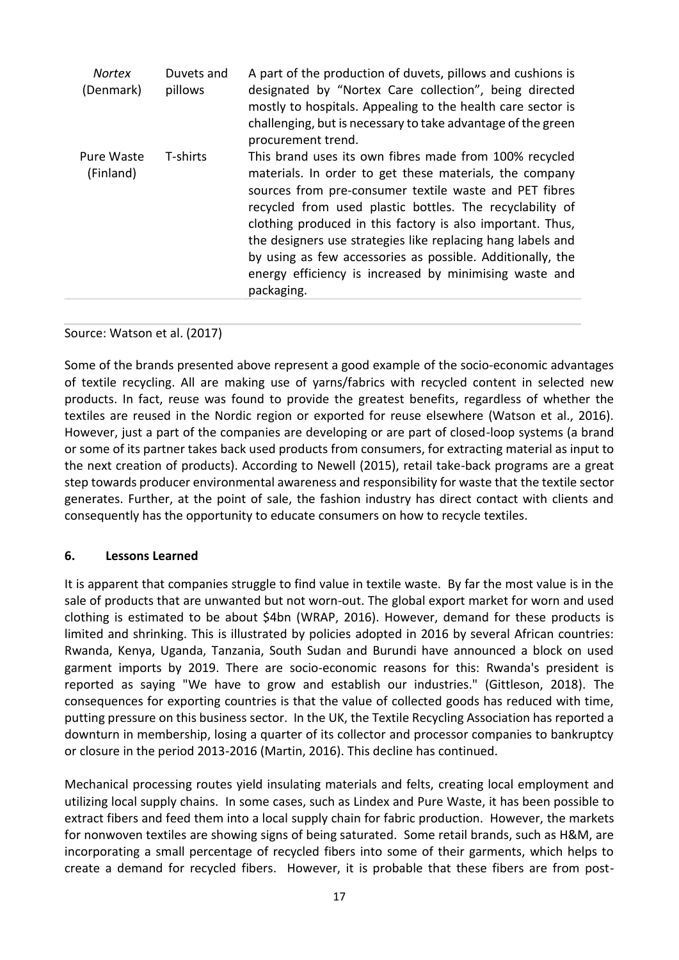| <b>Nortex</b> | Duvets and | A part of the production of duvets, pillows and cushions is  |
|---------------|------------|--------------------------------------------------------------|
| (Denmark)     | pillows    | designated by "Nortex Care collection", being directed       |
|               |            | mostly to hospitals. Appealing to the health care sector is  |
|               |            | challenging, but is necessary to take advantage of the green |
|               |            | procurement trend.                                           |
| Pure Waste    | T-shirts   | This brand uses its own fibres made from 100% recycled       |
| (Finland)     |            | materials. In order to get these materials, the company      |
|               |            | sources from pre-consumer textile waste and PET fibres       |
|               |            | recycled from used plastic bottles. The recyclability of     |
|               |            | clothing produced in this factory is also important. Thus,   |
|               |            | the designers use strategies like replacing hang labels and  |
|               |            | by using as few accessories as possible. Additionally, the   |
|               |            | energy efficiency is increased by minimising waste and       |
|               |            | packaging.                                                   |
|               |            |                                                              |

Source: Watson et al. (2017)

Some of the brands presented above represent a good example of the socio-economic advantages of textile recycling. All are making use of yarns/fabrics with recycled content in selected new products. In fact, reuse was found to provide the greatest benefits, regardless of whether the textiles are reused in the Nordic region or exported for reuse elsewhere (Watson et al., 2016). However, just a part of the companies are developing or are part of closed-loop systems (a brand or some of its partner takes back used products from consumers, for extracting material as input to the next creation of products). According to Newell (2015), retail take-back programs are a great step towards producer environmental awareness and responsibility for waste that the textile sector generates. Further, at the point of sale, the fashion industry has direct contact with clients and consequently has the opportunity to educate consumers on how to recycle textiles.

### **6. Lessons Learned**

It is apparent that companies struggle to find value in textile waste. By far the most value is in the sale of products that are unwanted but not worn-out. The global export market for worn and used clothing is estimated to be about \$4bn (WRAP, 2016). However, demand for these products is limited and shrinking. This is illustrated by policies adopted in 2016 by several African countries: Rwanda, Kenya, Uganda, Tanzania, South Sudan and Burundi have announced a block on used garment imports by 2019. There are socio-economic reasons for this: Rwanda's president is reported as saying "We have to grow and establish our industries." (Gittleson, 2018). The consequences for exporting countries is that the value of collected goods has reduced with time, putting pressure on this business sector. In the UK, the Textile Recycling Association has reported a downturn in membership, losing a quarter of its collector and processor companies to bankruptcy or closure in the period 2013-2016 (Martin, 2016). This decline has continued.

Mechanical processing routes yield insulating materials and felts, creating local employment and utilizing local supply chains. In some cases, such as Lindex and Pure Waste, it has been possible to extract fibers and feed them into a local supply chain for fabric production. However, the markets for nonwoven textiles are showing signs of being saturated. Some retail brands, such as H&M, are incorporating a small percentage of recycled fibers into some of their garments, which helps to create a demand for recycled fibers. However, it is probable that these fibers are from post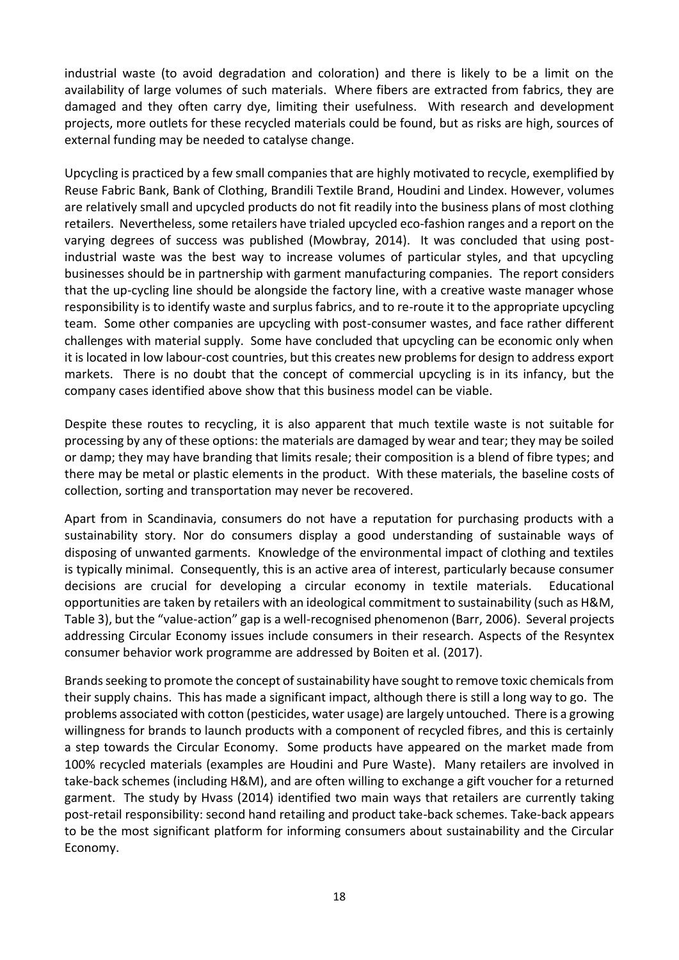industrial waste (to avoid degradation and coloration) and there is likely to be a limit on the availability of large volumes of such materials. Where fibers are extracted from fabrics, they are damaged and they often carry dye, limiting their usefulness. With research and development projects, more outlets for these recycled materials could be found, but as risks are high, sources of external funding may be needed to catalyse change.

Upcycling is practiced by a few small companies that are highly motivated to recycle, exemplified by Reuse Fabric Bank, Bank of Clothing, Brandili Textile Brand, Houdini and Lindex. However, volumes are relatively small and upcycled products do not fit readily into the business plans of most clothing retailers. Nevertheless, some retailers have trialed upcycled eco-fashion ranges and a report on the varying degrees of success was published (Mowbray, 2014). It was concluded that using postindustrial waste was the best way to increase volumes of particular styles, and that upcycling businesses should be in partnership with garment manufacturing companies. The report considers that the up-cycling line should be alongside the factory line, with a creative waste manager whose responsibility is to identify waste and surplus fabrics, and to re-route it to the appropriate upcycling team. Some other companies are upcycling with post-consumer wastes, and face rather different challenges with material supply. Some have concluded that upcycling can be economic only when it is located in low labour-cost countries, but this creates new problems for design to address export markets. There is no doubt that the concept of commercial upcycling is in its infancy, but the company cases identified above show that this business model can be viable.

Despite these routes to recycling, it is also apparent that much textile waste is not suitable for processing by any of these options: the materials are damaged by wear and tear; they may be soiled or damp; they may have branding that limits resale; their composition is a blend of fibre types; and there may be metal or plastic elements in the product. With these materials, the baseline costs of collection, sorting and transportation may never be recovered.

Apart from in Scandinavia, consumers do not have a reputation for purchasing products with a sustainability story. Nor do consumers display a good understanding of sustainable ways of disposing of unwanted garments. Knowledge of the environmental impact of clothing and textiles is typically minimal. Consequently, this is an active area of interest, particularly because consumer decisions are crucial for developing a circular economy in textile materials. Educational opportunities are taken by retailers with an ideological commitment to sustainability (such as H&M, Table 3), but the "value-action" gap is a well-recognised phenomenon (Barr, 2006). Several projects addressing Circular Economy issues include consumers in their research. Aspects of the Resyntex consumer behavior work programme are addressed by Boiten et al. (2017).

Brands seeking to promote the concept of sustainability have sought to remove toxic chemicals from their supply chains. This has made a significant impact, although there is still a long way to go. The problems associated with cotton (pesticides, water usage) are largely untouched. There is a growing willingness for brands to launch products with a component of recycled fibres, and this is certainly a step towards the Circular Economy. Some products have appeared on the market made from 100% recycled materials (examples are Houdini and Pure Waste). Many retailers are involved in take-back schemes (including H&M), and are often willing to exchange a gift voucher for a returned garment. The study by Hvass (2014) identified two main ways that retailers are currently taking post-retail responsibility: second hand retailing and product take-back schemes. Take-back appears to be the most significant platform for informing consumers about sustainability and the Circular Economy.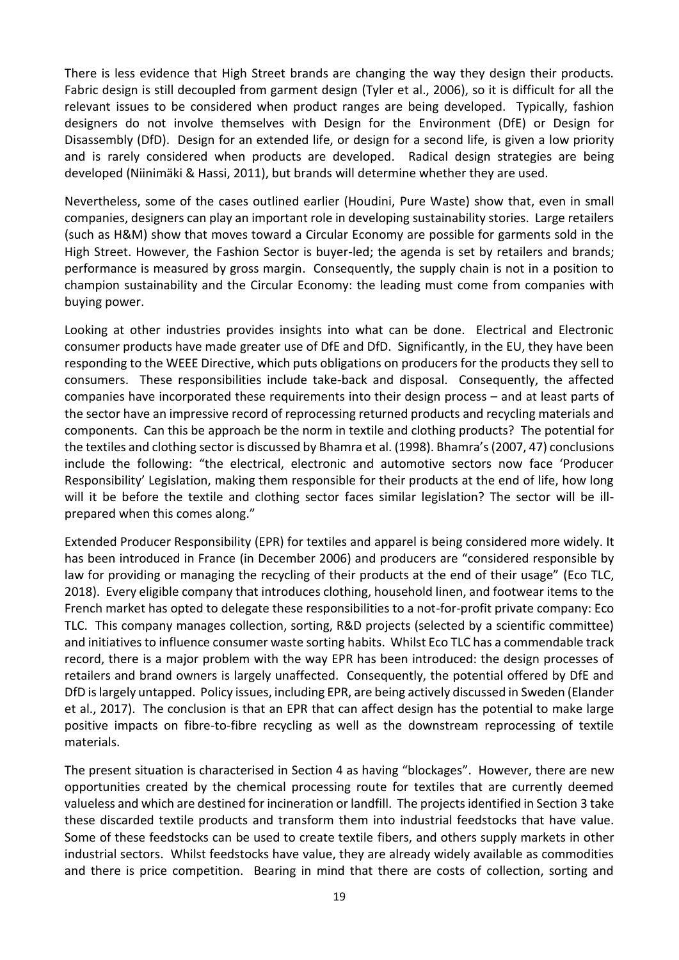There is less evidence that High Street brands are changing the way they design their products. Fabric design is still decoupled from garment design (Tyler et al., 2006), so it is difficult for all the relevant issues to be considered when product ranges are being developed. Typically, fashion designers do not involve themselves with Design for the Environment (DfE) or Design for Disassembly (DfD). Design for an extended life, or design for a second life, is given a low priority and is rarely considered when products are developed. Radical design strategies are being developed (Niinimäki & Hassi, 2011), but brands will determine whether they are used.

Nevertheless, some of the cases outlined earlier (Houdini, Pure Waste) show that, even in small companies, designers can play an important role in developing sustainability stories. Large retailers (such as H&M) show that moves toward a Circular Economy are possible for garments sold in the High Street. However, the Fashion Sector is buyer-led; the agenda is set by retailers and brands; performance is measured by gross margin. Consequently, the supply chain is not in a position to champion sustainability and the Circular Economy: the leading must come from companies with buying power.

Looking at other industries provides insights into what can be done. Electrical and Electronic consumer products have made greater use of DfE and DfD. Significantly, in the EU, they have been responding to the WEEE Directive, which puts obligations on producers for the products they sell to consumers. These responsibilities include take-back and disposal. Consequently, the affected companies have incorporated these requirements into their design process – and at least parts of the sector have an impressive record of reprocessing returned products and recycling materials and components. Can this be approach be the norm in textile and clothing products? The potential for the textiles and clothing sector is discussed by Bhamra et al. (1998). Bhamra's (2007, 47) conclusions include the following: "the electrical, electronic and automotive sectors now face 'Producer Responsibility' Legislation, making them responsible for their products at the end of life, how long will it be before the textile and clothing sector faces similar legislation? The sector will be illprepared when this comes along."

Extended Producer Responsibility (EPR) for textiles and apparel is being considered more widely. It has been introduced in France (in December 2006) and producers are "considered responsible by law for providing or managing the recycling of their products at the end of their usage" (Eco TLC, 2018). Every eligible company that introduces clothing, household linen, and footwear items to the French market has opted to delegate these responsibilities to a not-for-profit private company: Eco TLC. This company manages collection, sorting, R&D projects (selected by a scientific committee) and initiatives to influence consumer waste sorting habits. Whilst Eco TLC has a commendable track record, there is a major problem with the way EPR has been introduced: the design processes of retailers and brand owners is largely unaffected. Consequently, the potential offered by DfE and DfD is largely untapped. Policy issues, including EPR, are being actively discussed in Sweden (Elander et al., 2017). The conclusion is that an EPR that can affect design has the potential to make large positive impacts on fibre-to-fibre recycling as well as the downstream reprocessing of textile materials.

The present situation is characterised in Section 4 as having "blockages". However, there are new opportunities created by the chemical processing route for textiles that are currently deemed valueless and which are destined for incineration or landfill. The projects identified in Section 3 take these discarded textile products and transform them into industrial feedstocks that have value. Some of these feedstocks can be used to create textile fibers, and others supply markets in other industrial sectors. Whilst feedstocks have value, they are already widely available as commodities and there is price competition. Bearing in mind that there are costs of collection, sorting and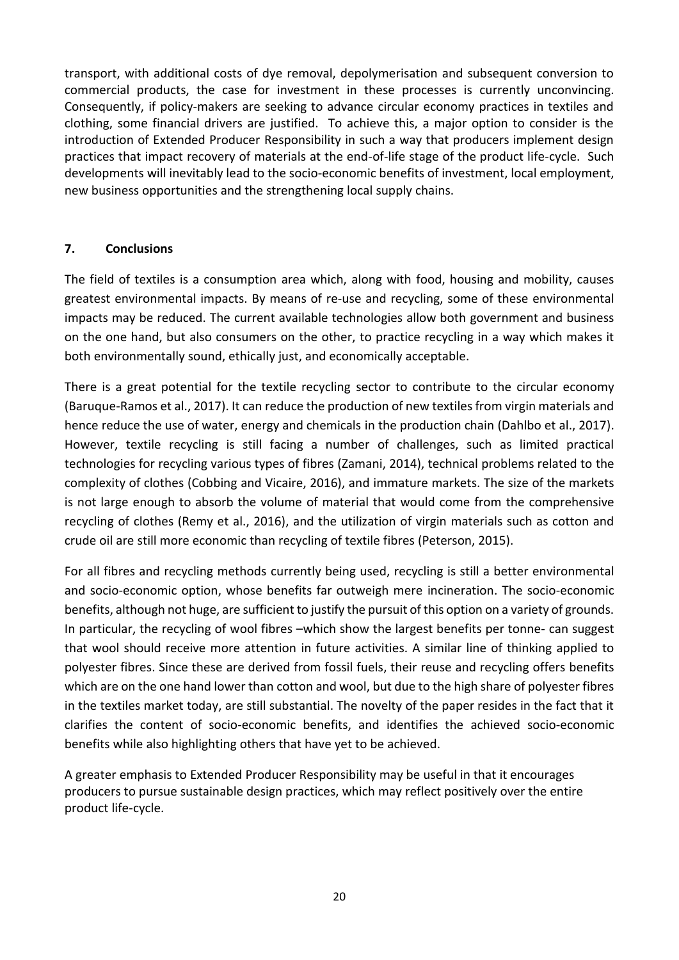transport, with additional costs of dye removal, depolymerisation and subsequent conversion to commercial products, the case for investment in these processes is currently unconvincing. Consequently, if policy-makers are seeking to advance circular economy practices in textiles and clothing, some financial drivers are justified. To achieve this, a major option to consider is the introduction of Extended Producer Responsibility in such a way that producers implement design practices that impact recovery of materials at the end-of-life stage of the product life-cycle. Such developments will inevitably lead to the socio-economic benefits of investment, local employment, new business opportunities and the strengthening local supply chains.

# **7. Conclusions**

The field of textiles is a consumption area which, along with food, housing and mobility, causes greatest environmental impacts. By means of re-use and recycling, some of these environmental impacts may be reduced. The current available technologies allow both government and business on the one hand, but also consumers on the other, to practice recycling in a way which makes it both environmentally sound, ethically just, and economically acceptable.

There is a great potential for the textile recycling sector to contribute to the circular economy (Baruque-Ramos et al., 2017). It can reduce the production of new textiles from virgin materials and hence reduce the use of water, energy and chemicals in the production chain (Dahlbo et al., 2017). However, textile recycling is still facing a number of challenges, such as limited practical technologies for recycling various types of fibres (Zamani, 2014), technical problems related to the complexity of clothes (Cobbing and Vicaire, 2016), and immature markets. The size of the markets is not large enough to absorb the volume of material that would come from the comprehensive recycling of clothes (Remy et al., 2016), and the utilization of virgin materials such as cotton and crude oil are still more economic than recycling of textile fibres (Peterson, 2015).

For all fibres and recycling methods currently being used, recycling is still a better environmental and socio-economic option, whose benefits far outweigh mere incineration. The socio-economic benefits, although not huge, are sufficient to justify the pursuit of this option on a variety of grounds. In particular, the recycling of wool fibres -which show the largest benefits per tonne- can suggest that wool should receive more attention in future activities. A similar line of thinking applied to polyester fibres. Since these are derived from fossil fuels, their reuse and recycling offers benefits which are on the one hand lower than cotton and wool, but due to the high share of polyester fibres in the textiles market today, are still substantial. The novelty of the paper resides in the fact that it clarifies the content of socio-economic benefits, and identifies the achieved socio-economic benefits while also highlighting others that have yet to be achieved.

A greater emphasis to Extended Producer Responsibility may be useful in that it encourages producers to pursue sustainable design practices, which may reflect positively over the entire product life-cycle.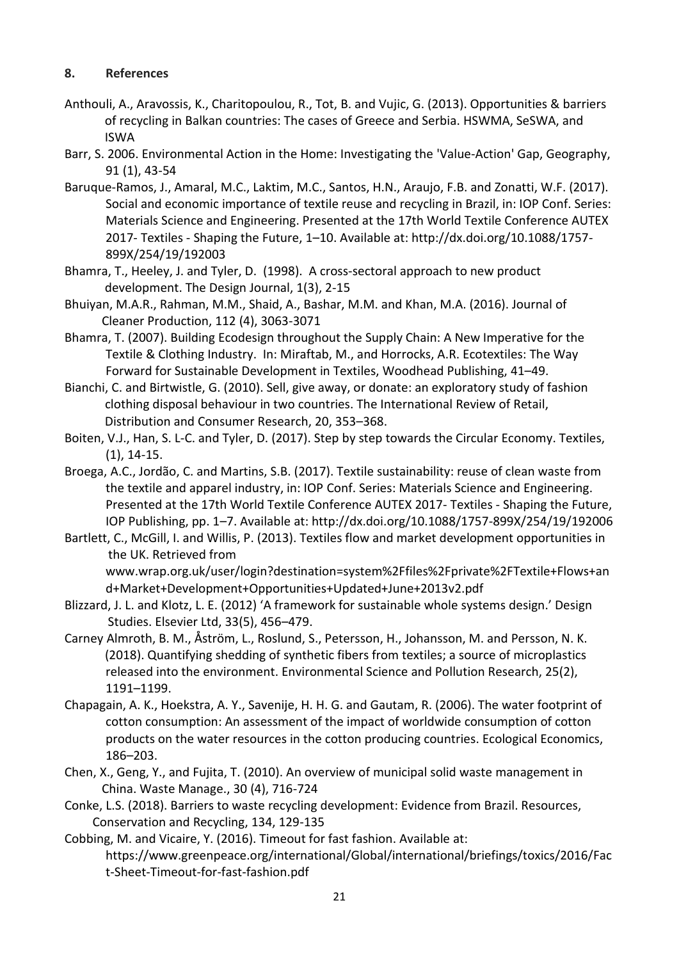# **8. References**

- Anthouli, A., Aravossis, K., Charitopoulou, R., Tot, B. and Vujic, G. (2013). Opportunities & barriers of recycling in Balkan countries: The cases of Greece and Serbia. HSWMA, SeSWA, and ISWA
- Barr, S. 2006. Environmental Action in the Home: Investigating the 'Value-Action' Gap, Geography, 91 (1), 43-54
- Baruque-Ramos, J., Amaral, M.C., Laktim, M.C., Santos, H.N., Araujo, F.B. and Zonatti, W.F. (2017). Social and economic importance of textile reuse and recycling in Brazil, in: IOP Conf. Series: Materials Science and Engineering. Presented at the 17th World Textile Conference AUTEX 2017- Textiles - Shaping the Future, 1-10. Available at: http://dx.doi.org/10.1088/1757-899X/254/19/192003
- Bhamra, T., Heeley, J. and Tyler, D. (1998). A cross-sectoral approach to new product development. The Design Journal, 1(3), 2-15
- Bhuiyan, M.A.R., Rahman, M.M., Shaid, A., Bashar, M.M. and Khan, M.A. (2016). Journal of Cleaner Production, 112 (4), 3063-3071
- Bhamra, T. (2007). Building Ecodesign throughout the Supply Chain: A New Imperative for the Textile & Clothing Industry. In: Miraftab, M., and Horrocks, A.R. Ecotextiles: The Way Forward for Sustainable Development in Textiles, Woodhead Publishing, 41–49.
- Bianchi, C. and Birtwistle, G. (2010). Sell, give away, or donate: an exploratory study of fashion clothing disposal behaviour in two countries. The International Review of Retail, Distribution and Consumer Research, 20, 353-368.
- Boiten, V.J., Han, S. L-C. and Tyler, D. (2017). Step by step towards the Circular Economy. Textiles, (1), 14-15.
- Broega, A.C., Jordão, C. and Martins, S.B. (2017). Textile sustainability: reuse of clean waste from the textile and apparel industry, in: IOP Conf. Series: Materials Science and Engineering. Presented at the 17th World Textile Conference AUTEX 2017- Textiles - Shaping the Future, IOP Publishing, pp. 1-7. Available at: http://dx.doi.org/10.1088/1757-899X/254/19/192006
- Bartlett, C., McGill, I. and Willis, P. (2013). Textiles flow and market development opportunities in the UK. Retrieved from

www.wrap.org.uk/user/login?destination=system%2Ffiles%2Fprivate%2FTextile+Flows+an d+Market+Development+Opportunities+Updated+June+2013v2.pdf

- Blizzard, J. L. and Klotz, L. E. (2012) 'A framework for sustainable whole systems design.' Design Studies. Elsevier Ltd, 33(5), 456-479.
- Carney Almroth, B. M., Åström, L., Roslund, S., Petersson, H., Johansson, M. and Persson, N. K. (2018). Quantifying shedding of synthetic fibers from textiles; a source of microplastics released into the environment. Environmental Science and Pollution Research, 25(2), 1191-1199.
- Chapagain, A. K., Hoekstra, A. Y., Savenije, H. H. G. and Gautam, R. (2006). The water footprint of cotton consumption: An assessment of the impact of worldwide consumption of cotton products on the water resources in the cotton producing countries. Ecological Economics, 186-203.
- Chen, X., Geng, Y., and Fujita, T. (2010). An overview of municipal solid waste management in China. Waste Manage., 30 (4), 716-724
- Conke, L.S. (2018). Barriers to waste recycling development: Evidence from Brazil. Resources, Conservation and Recycling, 134, 129-135
- Cobbing, M. and Vicaire, Y. (2016). Timeout for fast fashion. Available at: https://www.greenpeace.org/international/Global/international/briefings/toxics/2016/Fac t-Sheet-Timeout-for-fast-fashion.pdf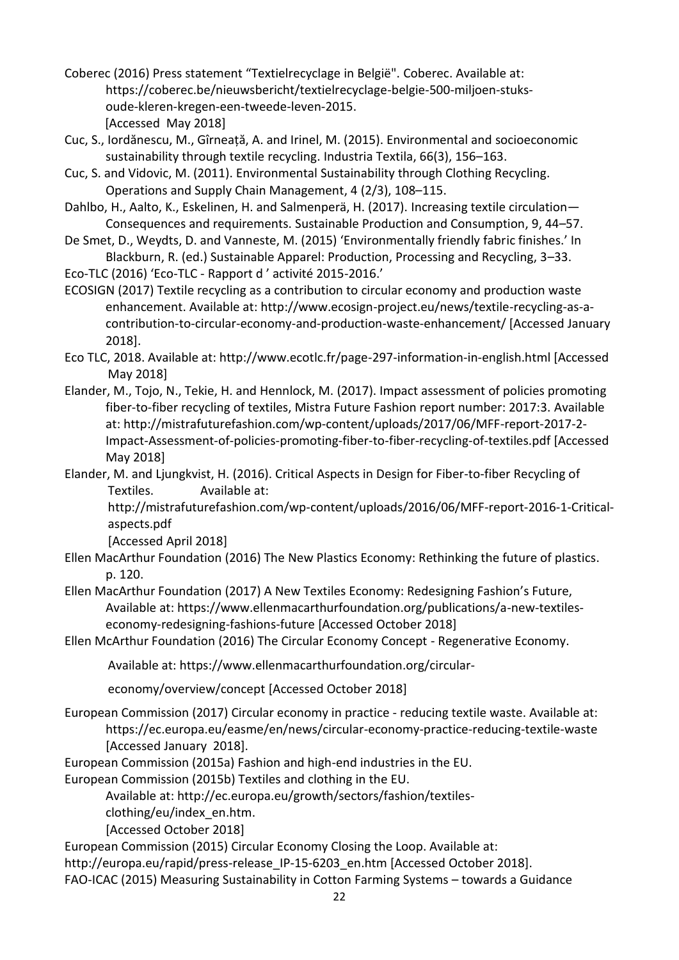- Coberec (2016) Press statement "Textielrecyclage in België". Coberec. Available at: https://coberec.be/nieuwsbericht/textielrecyclage-belgie-500-miljoen-stuksoude-kleren-kregen-een-tweede-leven-2015. [Accessed May 2018]
- Cuc, S., Iordănescu, M., Gîrneață, A. and Irinel, M. (2015). Environmental and socioeconomic sustainability through textile recycling. Industria Textila, 66(3), 156-163.
- Cuc, S. and Vidovic, M. (2011). Environmental Sustainability through Clothing Recycling. Operations and Supply Chain Management, 4 (2/3), 108-115.
- Dahlbo, H., Aalto, K., Eskelinen, H. and Salmenperä, H. (2017). Increasing textile circulation-Consequences and requirements. Sustainable Production and Consumption, 9, 44–57.
- De Smet, D., Weydts, D. and Vanneste, M. (2015) 'Environmentally friendly fabric finishes.' In Blackburn, R. (ed.) Sustainable Apparel: Production, Processing and Recycling, 3–33.
- Eco-TLC (2016) 'Eco-TLC Rapport d'activité 2015-2016.'
- ECOSIGN (2017) Textile recycling as a contribution to circular economy and production waste enhancement. Available at: http://www.ecosign-project.eu/news/textile-recycling-as-acontribution-to-circular-economy-and-production-waste-enhancement/ [Accessed January 2018].
- Eco TLC, 2018. Available at: http://www.ecotlc.fr/page-297-information-in-english.html [Accessed May 2018]
- Elander, M., Tojo, N., Tekie, H. and Hennlock, M. (2017). Impact assessment of policies promoting fiber-to-fiber recycling of textiles, Mistra Future Fashion report number: 2017:3. Available at: http://mistrafuturefashion.com/wp-content/uploads/2017/06/MFF-report-2017-2- Impact-Assessment-of-policies-promoting-fiber-to-fiber-recycling-of-textiles.pdf [Accessed May 2018]
- Elander, M. and Ljungkvist, H. (2016). Critical Aspects in Design for Fiber-to-fiber Recycling of Textiles. Available at:
	- http://mistrafuturefashion.com/wp-content/uploads/2016/06/MFF-report-2016-1-Critical aspects.pdf
	- [Accessed April 2018]
- Ellen MacArthur Foundation (2016) The New Plastics Economy: Rethinking the future of plastics. p. 120.
- Ellen MacArthur Foundation (2017) A New Textiles Economy: Redesigning Fashion's Future, Available at: https://www.ellenmacarthurfoundation.org/publications/a-new-textileseconomy-redesigning-fashions-future [Accessed October 2018]
- Ellen McArthur Foundation (2016) The Circular Economy Concept Regenerative Economy.

Available at: https://www.ellenmacarthurfoundation.org/circular-

economy/overview/concept [Accessed October 2018]

- European Commission (2017) Circular economy in practice reducing textile waste. Available at: https://ec.europa.eu/easme/en/news/circular-economy-practice-reducing-textile-waste [Accessed January 2018].
- European Commission (2015a) Fashion and high-end industries in the EU.
- European Commission (2015b) Textiles and clothing in the EU.
	- Available at: http://ec.europa.eu/growth/sectors/fashion/textiles-
	- clothing/eu/index\_en.htm.
	- [Accessed October 2018]
- European Commission (2015) Circular Economy Closing the Loop. Available at:
- http://europa.eu/rapid/press-release IP-15-6203 en.htm [Accessed October 2018].
- FAO-ICAC (2015) Measuring Sustainability in Cotton Farming Systems towards a Guidance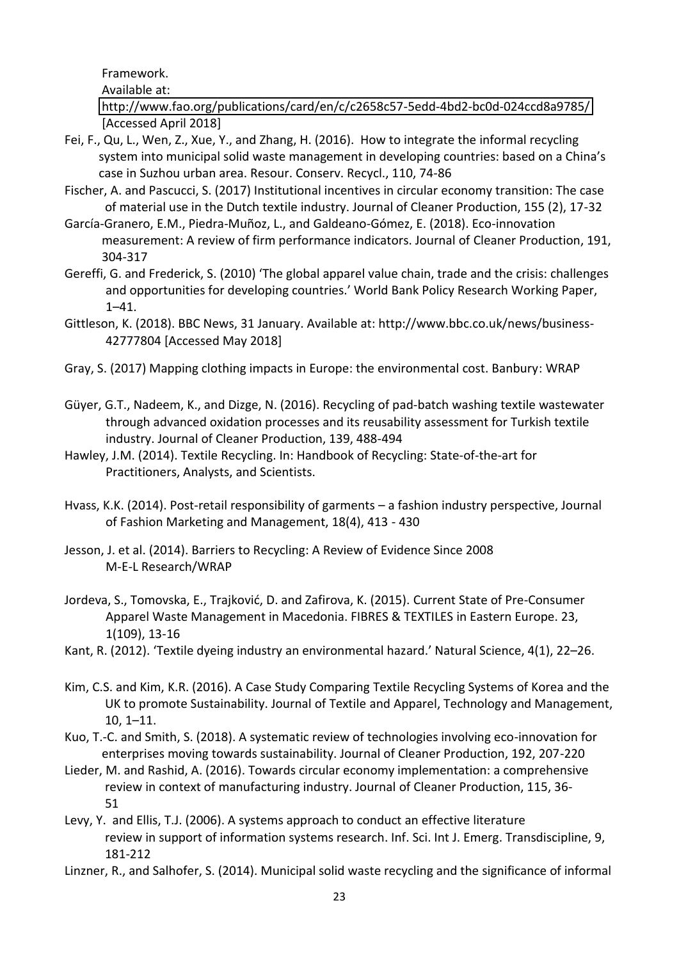Framework.

Available at:

 <http://www.fao.org/publications/card/en/c/c2658c57-5edd-4bd2-bc0d-024ccd8a9785/> [Accessed April 2018]

- Fei, F., Qu, L., Wen, Z., Xue, Y., and Zhang, H. (2016). How to integrate the informal recycling system into municipal solid waste management in developing countries: based on a China's case in Suzhou urban area. Resour. Conserv. Recycl., 110, 74-86
- Fischer, A. and Pascucci, S. (2017) Institutional incentives in circular economy transition: The case of material use in the Dutch textile industry. Journal of Cleaner Production, 155 (2), 17-32
- García-Granero, E.M., Piedra-Muñoz, L., and Galdeano-Gómez, E. (2018). Eco-innovation measurement: A review of firm performance indicators. Journal of Cleaner Production, 191, 304-317
- Gereffi, G. and Frederick, S. (2010) 'The global apparel value chain, trade and the crisis: challenges and opportunities for developing countries.' World Bank Policy Research Working Paper,  $1 - 41$ .
- Gittleson, K. (2018). BBC News, 31 January. Available at: http://www.bbc.co.uk/news/business-42777804 [Accessed May 2018]
- Gray, S. (2017) Mapping clothing impacts in Europe: the environmental cost. Banbury: WRAP
- Güyer, G.T., Nadeem, K., and Dizge, N. (2016). Recycling of pad-batch washing textile wastewater through advanced oxidation processes and its reusability assessment for Turkish textile industry. Journal of Cleaner Production, 139, 488-494
- Hawley, J.M. (2014). Textile Recycling. In: Handbook of Recycling: State-of-the-art for Practitioners, Analysts, and Scientists.
- Hyass, K.K. (2014). Post-retail responsibility of garments a fashion industry perspective, Journal of Fashion Marketing and Management, 18(4), 413 - 430
- Jesson, J. et al. (2014). Barriers to Recycling: A Review of Evidence Since 2008 M-E-L Research/WRAP
- Jordeva, S., Tomovska, E., Trajković, D. and Zafirova, K. (2015). Current State of Pre-Consumer Apparel Waste Management in Macedonia. FIBRES & TEXTILES in Eastern Europe. 23, 1(109), 13-16
- Kant, R. (2012). 'Textile dyeing industry an environmental hazard.' Natural Science, 4(1), 22-26.
- Kim, C.S. and Kim, K.R. (2016). A Case Study Comparing Textile Recycling Systems of Korea and the UK to promote Sustainability. Journal of Textile and Apparel, Technology and Management,  $10, 1 - 11.$
- Kuo, T.-C. and Smith, S. (2018). A systematic review of technologies involving eco-innovation for enterprises moving towards sustainability. Journal of Cleaner Production, 192, 207-220
- Lieder, M. and Rashid, A. (2016). Towards circular economy implementation: a comprehensive review in context of manufacturing industry. Journal of Cleaner Production, 115, 36- 51
- Levy, Y. and Ellis, T.J. (2006). A systems approach to conduct an effective literature review in support of information systems research. Inf. Sci. Int J. Emerg. Transdiscipline, 9, 181-212
- Linzner, R., and Salhofer, S. (2014). Municipal solid waste recycling and the significance of informal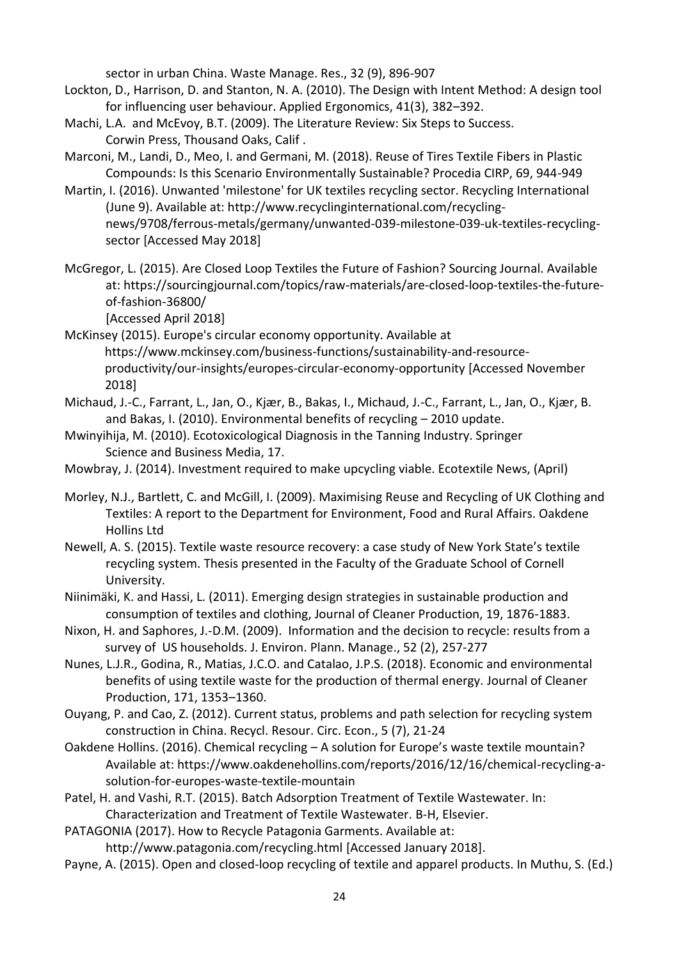sector in urban China. Waste Manage. Res., 32 (9), 896-907

- Lockton, D., Harrison, D. and Stanton, N. A. (2010). The Design with Intent Method: A design tool for influencing user behaviour. Applied Ergonomics, 41(3), 382-392.
- Machi, L.A. and McEvoy, B.T. (2009). The Literature Review: Six Steps to Success. Corwin Press, Thousand Oaks, Calif .
- Marconi, M., Landi, D., Meo, I. and Germani, M. (2018). Reuse of Tires Textile Fibers in Plastic Compounds: Is this Scenario Environmentally Sustainable? Procedia CIRP, 69, 944-949
- Martin, I. (2016). Unwanted 'milestone' for UK textiles recycling sector. Recycling International (June 9). Available at: http://www.recyclinginternational.com/recyclingnews/9708/ferrous-metals/germany/unwanted-039-milestone-039-uk-textiles-recyclingsector [Accessed May 2018]
- McGregor, L. (2015). Are Closed Loop Textiles the Future of Fashion? Sourcing Journal. Available at: https://sourcingjournal.com/topics/raw-materials/are-closed-loop-textiles-the-futureof-fashion-36800/

[Accessed April 2018]

- McKinsey (2015). Europe's circular economy opportunity. Available at https://www.mckinsey.com/business-functions/sustainability-and-resource productivity/our-insights/europes-circular-economy-opportunity [Accessed November 2018]
- Michaud, J.-C., Farrant, L., Jan, O., Kjær, B., Bakas, I., Michaud, J.-C., Farrant, L., Jan, O., Kjær, B. and Bakas, I. (2010). Environmental benefits of recycling - 2010 update.
- Mwinyihija, M. (2010). Ecotoxicological Diagnosis in the Tanning Industry. Springer Science and Business Media, 17.
- Mowbray, J. (2014). Investment required to make upcycling viable. Ecotextile News, (April)
- Morley, N.J., Bartlett, C. and McGill, I. (2009). Maximising Reuse and Recycling of UK Clothing and Textiles: A report to the Department for Environment, Food and Rural Affairs. Oakdene Hollins Ltd
- Newell, A. S. (2015). Textile waste resource recovery: a case study of New York State's textile recycling system. Thesis presented in the Faculty of the Graduate School of Cornell University.
- Niinim‰ki, K. and Hassi, L. (2011). Emerging design strategies in sustainable production and consumption of textiles and clothing, Journal of Cleaner Production, 19, 1876-1883.
- Nixon, H. and Saphores, J.-D.M. (2009). Information and the decision to recycle: results from a survey of US households. J. Environ. Plann. Manage., 52 (2), 257-277
- Nunes, L.J.R., Godina, R., Matias, J.C.O. and Catalao, J.P.S. (2018). Economic and environmental benefits of using textile waste for the production of thermal energy. Journal of Cleaner Production, 171, 1353-1360.
- Ouyang, P. and Cao, Z. (2012). Current status, problems and path selection for recycling system construction in China. Recycl. Resour. Circ. Econ., 5 (7), 21-24
- Oakdene Hollins. (2016). Chemical recycling A solution for Europe's waste textile mountain? Available at: https://www.oakdenehollins.com/reports/2016/12/16/chemical-recycling-asolution-for-europes-waste-textile-mountain
- Patel, H. and Vashi, R.T. (2015). Batch Adsorption Treatment of Textile Wastewater. In: Characterization and Treatment of Textile Wastewater. B-H, Elsevier.
- PATAGONIA (2017). How to Recycle Patagonia Garments. Available at:

http://www.patagonia.com/recycling.html [Accessed January 2018].

Payne, A. (2015). Open and closed-loop recycling of textile and apparel products. In Muthu, S. (Ed.)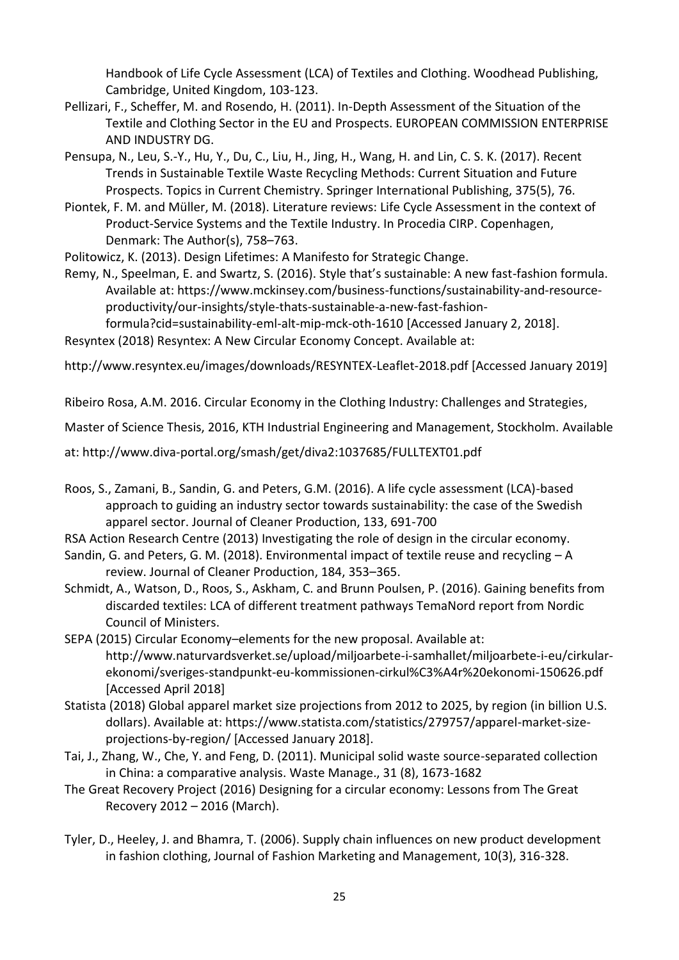Handbook of Life Cycle Assessment (LCA) of Textiles and Clothing. Woodhead Publishing, Cambridge, United Kingdom, 103-123.

- Pellizari, F., Scheffer, M. and Rosendo, H. (2011). In-Depth Assessment of the Situation of the Textile and Clothing Sector in the EU and Prospects. EUROPEAN COMMISSION ENTERPRISE AND INDUSTRY DG.
- Pensupa, N., Leu, S.-Y., Hu, Y., Du, C., Liu, H., Jing, H., Wang, H. and Lin, C. S. K. (2017). Recent Trends in Sustainable Textile Waste Recycling Methods: Current Situation and Future Prospects. Topics in Current Chemistry. Springer International Publishing, 375(5), 76.
- Piontek, F. M. and Müller, M. (2018). Literature reviews: Life Cycle Assessment in the context of Product-Service Systems and the Textile Industry. In Procedia CIRP. Copenhagen, Denmark: The Author(s), 758-763.

Politowicz, K. (2013). Design Lifetimes: A Manifesto for Strategic Change.

Remy, N., Speelman, E. and Swartz, S. (2016). Style that's sustainable: A new fast-fashion formula. Available at: https://www.mckinsey.com/business-functions/sustainability-and-resourceproductivity/our-insights/style-thats-sustainable-a-new-fast-fashion-

formula?cid=sustainability-eml-alt-mip-mck-oth-1610 [Accessed January 2, 2018].

Resyntex (2018) Resyntex: A New Circular Economy Concept. Available at:

http://www.resyntex.eu/images/downloads/RESYNTEX-Leaflet-2018.pdf [Accessed January 2019]

Ribeiro Rosa, A.M. 2016. Circular Economy in the Clothing Industry: Challenges and Strategies,

Master of Science Thesis, 2016, KTH Industrial Engineering and Management, Stockholm. Available

at: http://www.diva-portal.org/smash/get/diva2:1037685/FULLTEXT01.pdf

Roos, S., Zamani, B., Sandin, G. and Peters, G.M. (2016). A life cycle assessment (LCA)-based approach to guiding an industry sector towards sustainability: the case of the Swedish apparel sector. Journal of Cleaner Production, 133, 691-700

RSA Action Research Centre (2013) Investigating the role of design in the circular economy.

- Sandin, G. and Peters, G. M. (2018). Environmental impact of textile reuse and recycling  $A$ review. Journal of Cleaner Production, 184, 353-365.
- Schmidt, A., Watson, D., Roos, S., Askham, C. and Brunn Poulsen, P. (2016). Gaining benefits from discarded textiles: LCA of different treatment pathways TemaNord report from Nordic Council of Ministers.
- SEPA (2015) Circular Economy-elements for the new proposal. Available at: http://www.naturvardsverket.se/upload/miljoarbete-i-samhallet/miljoarbete-i-eu/cirkularekonomi/sveriges-standpunkt-eu-kommissionen-cirkul%C3%A4r%20ekonomi-150626.pdf [Accessed April 2018]
- Statista (2018) Global apparel market size projections from 2012 to 2025, by region (in billion U.S. dollars). Available at: https://www.statista.com/statistics/279757/apparel-market-sizeprojections-by-region/ [Accessed January 2018].
- Tai, J., Zhang, W., Che, Y. and Feng, D. (2011). Municipal solid waste source-separated collection in China: a comparative analysis. Waste Manage., 31 (8), 1673-1682
- The Great Recovery Project (2016) Designing for a circular economy: Lessons from The Great Recovery 2012 - 2016 (March).
- Tyler, D., Heeley, J. and Bhamra, T. (2006). Supply chain influences on new product development in fashion clothing, Journal of Fashion Marketing and Management, 10(3), 316-328.